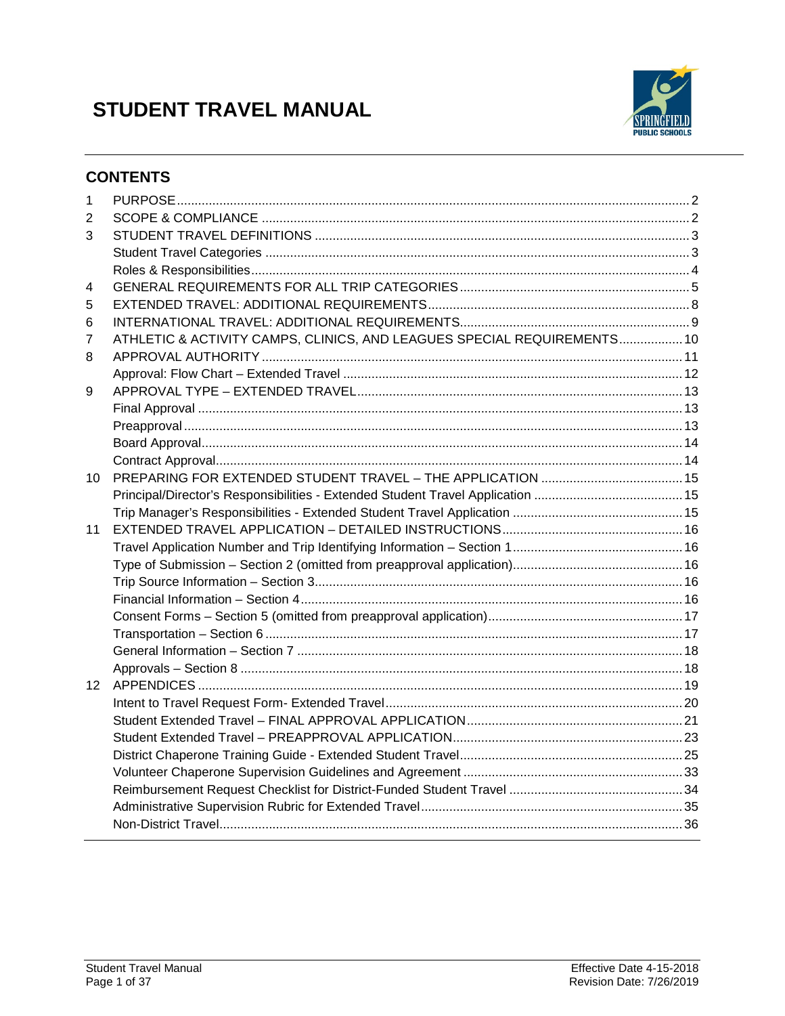# **STUDENT TRAVEL MANUAL**



# **CONTENTS**

| 1                |                                                                         |  |
|------------------|-------------------------------------------------------------------------|--|
| 2                |                                                                         |  |
| 3                |                                                                         |  |
|                  |                                                                         |  |
|                  |                                                                         |  |
| 4                |                                                                         |  |
| 5                |                                                                         |  |
| 6                |                                                                         |  |
| 7                | ATHLETIC & ACTIVITY CAMPS, CLINICS, AND LEAGUES SPECIAL REQUIREMENTS 10 |  |
| 8                |                                                                         |  |
|                  |                                                                         |  |
| 9                |                                                                         |  |
|                  |                                                                         |  |
|                  |                                                                         |  |
|                  |                                                                         |  |
|                  |                                                                         |  |
| 10               |                                                                         |  |
|                  |                                                                         |  |
|                  |                                                                         |  |
| 11               |                                                                         |  |
|                  |                                                                         |  |
|                  |                                                                         |  |
|                  |                                                                         |  |
|                  |                                                                         |  |
|                  |                                                                         |  |
|                  |                                                                         |  |
|                  |                                                                         |  |
|                  |                                                                         |  |
| 12 <sup>12</sup> |                                                                         |  |
|                  |                                                                         |  |
|                  |                                                                         |  |
|                  |                                                                         |  |
|                  |                                                                         |  |
|                  |                                                                         |  |
|                  |                                                                         |  |
|                  |                                                                         |  |
|                  |                                                                         |  |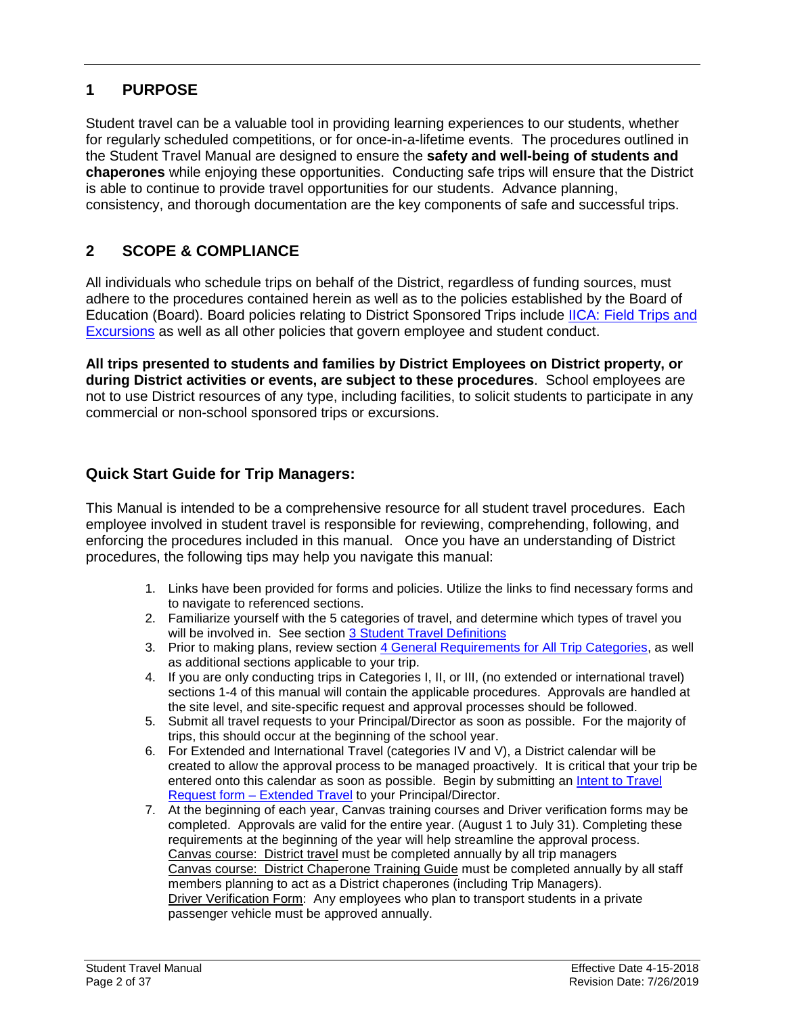# <span id="page-1-0"></span>**1 PURPOSE**

Student travel can be a valuable tool in providing learning experiences to our students, whether for regularly scheduled competitions, or for once-in-a-lifetime events. The procedures outlined in the Student Travel Manual are designed to ensure the **safety and well-being of students and chaperones** while enjoying these opportunities. Conducting safe trips will ensure that the District is able to continue to provide travel opportunities for our students. Advance planning, consistency, and thorough documentation are the key components of safe and successful trips.

# <span id="page-1-1"></span>**2 SCOPE & COMPLIANCE**

All individuals who schedule trips on behalf of the District, regardless of funding sources, must adhere to the procedures contained herein as well as to the policies established by the Board of Education (Board). Board policies relating to District Sponsored Trips include *IICA: Field Trips and* **[Excursions](https://simbli.eboardsolutions.com/SB_ePolicy/SB_PolicyOverview.aspx?S=177&Sch=177)** as well as all other policies that govern employee and student conduct.

**All trips presented to students and families by District Employees on District property, or during District activities or events, are subject to these procedures**. School employees are not to use District resources of any type, including facilities, to solicit students to participate in any commercial or non-school sponsored trips or excursions.

# **Quick Start Guide for Trip Managers:**

This Manual is intended to be a comprehensive resource for all student travel procedures. Each employee involved in student travel is responsible for reviewing, comprehending, following, and enforcing the procedures included in this manual. Once you have an understanding of District procedures, the following tips may help you navigate this manual:

- 1. Links have been provided for forms and policies. Utilize the links to find necessary forms and to navigate to referenced sections.
- 2. Familiarize yourself with the 5 categories of travel, and determine which types of travel you will be involved in. See section [3 Student Travel Definitions](#page-2-0)
- 3. Prior to making plans, review section [4 General Requirements for](#page-4-0) All Trip Categories, as well as additional sections applicable to your trip.
- 4. If you are only conducting trips in Categories I, II, or III, (no extended or international travel) sections 1-4 of this manual will contain the applicable procedures. Approvals are handled at the site level, and site-specific request and approval processes should be followed.
- 5. Submit all travel requests to your Principal/Director as soon as possible. For the majority of trips, this should occur at the beginning of the school year.
- 6. For Extended and International Travel (categories IV and V), a District calendar will be created to allow the approval process to be managed proactively. It is critical that your trip be entered onto this calendar as soon as possible. Begin by submitting an *Intent to Travel* Request form – [Extended Travel](#page-19-0) to your Principal/Director.
- 7. At the beginning of each year, Canvas training courses and Driver verification forms may be completed. Approvals are valid for the entire year. (August 1 to July 31). Completing these requirements at the beginning of the year will help streamline the approval process. Canvas course: District travel must be completed annually by all trip managers Canvas course: District Chaperone Training Guide must be completed annually by all staff members planning to act as a District chaperones (including Trip Managers). Driver Verification Form: Any employees who plan to transport students in a private passenger vehicle must be approved annually.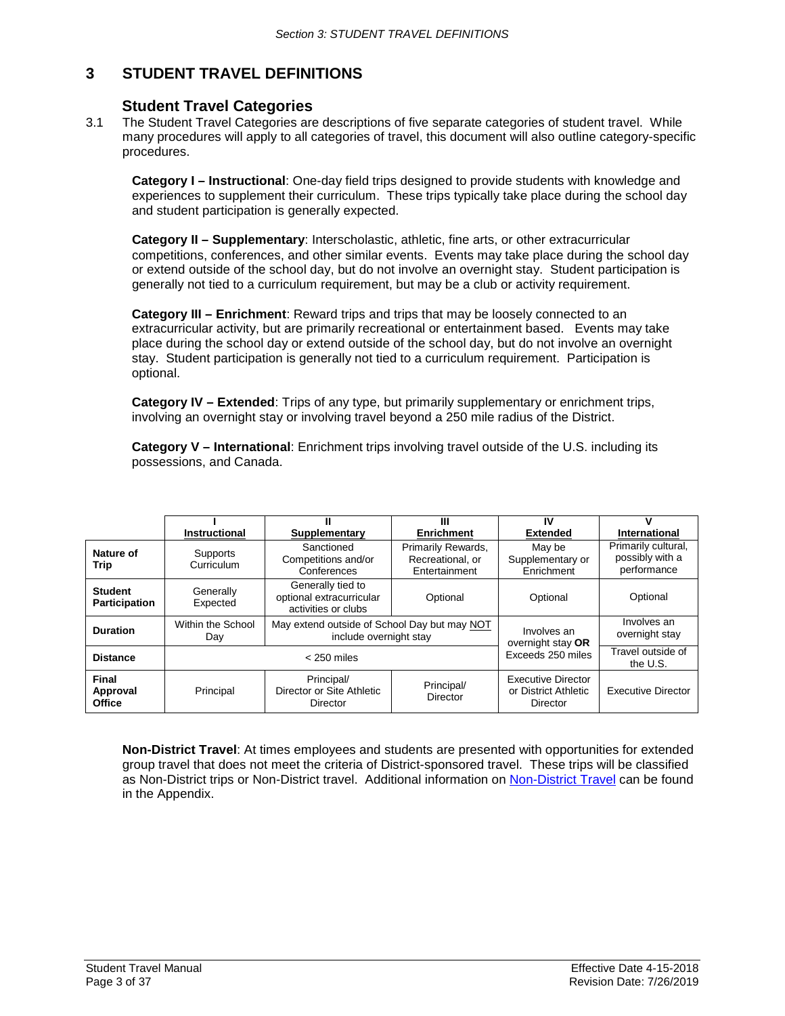# <span id="page-2-0"></span>**3 STUDENT TRAVEL DEFINITIONS**

### **Student Travel Categories**

<span id="page-2-1"></span>3.1 The Student Travel Categories are descriptions of five separate categories of student travel. While many procedures will apply to all categories of travel, this document will also outline category-specific procedures.

**Category I – Instructional**: One-day field trips designed to provide students with knowledge and experiences to supplement their curriculum. These trips typically take place during the school day and student participation is generally expected.

**Category II – Supplementary**: Interscholastic, athletic, fine arts, or other extracurricular competitions, conferences, and other similar events. Events may take place during the school day or extend outside of the school day, but do not involve an overnight stay. Student participation is generally not tied to a curriculum requirement, but may be a club or activity requirement.

**Category III – Enrichment**: Reward trips and trips that may be loosely connected to an extracurricular activity, but are primarily recreational or entertainment based. Events may take place during the school day or extend outside of the school day, but do not involve an overnight stay. Student participation is generally not tied to a curriculum requirement. Participation is optional.

**Category IV – Extended**: Trips of any type, but primarily supplementary or enrichment trips, involving an overnight stay or involving travel beyond a 250 mile radius of the District.

**Category V – International**: Enrichment trips involving travel outside of the U.S. including its possessions, and Canada.

|                                        | Instructional            | Supplementary                                                          | Ш<br><b>Enrichment</b>                                  | IV<br><b>Extended</b>                                         | International                                         |
|----------------------------------------|--------------------------|------------------------------------------------------------------------|---------------------------------------------------------|---------------------------------------------------------------|-------------------------------------------------------|
| Nature of<br>Trip                      | Supports<br>Curriculum   | Sanctioned<br>Competitions and/or<br>Conferences                       | Primarily Rewards,<br>Recreational, or<br>Entertainment | May be<br>Supplementary or<br>Enrichment                      | Primarily cultural,<br>possibly with a<br>performance |
| <b>Student</b><br><b>Participation</b> | Generally<br>Expected    | Generally tied to<br>optional extracurricular<br>activities or clubs   | Optional                                                | Optional                                                      | Optional                                              |
| <b>Duration</b>                        | Within the School<br>Day | May extend outside of School Day but may NOT<br>include overnight stay |                                                         | Involves an<br>overnight stay OR                              | Involves an<br>overnight stay                         |
| <b>Distance</b>                        | $<$ 250 miles            |                                                                        |                                                         | Exceeds 250 miles                                             | Travel outside of<br>the U.S.                         |
| Final<br>Approval<br><b>Office</b>     | Principal                | Principal/<br>Director or Site Athletic<br>Director                    | Principal/<br>Director                                  | <b>Executive Director</b><br>or District Athletic<br>Director | <b>Executive Director</b>                             |

**Non-District Travel**: At times employees and students are presented with opportunities for extended group travel that does not meet the criteria of District-sponsored travel. These trips will be classified as Non-District trips or Non-District travel. Additional information on [Non-District Travel](#page-35-0) can be found in the Appendix.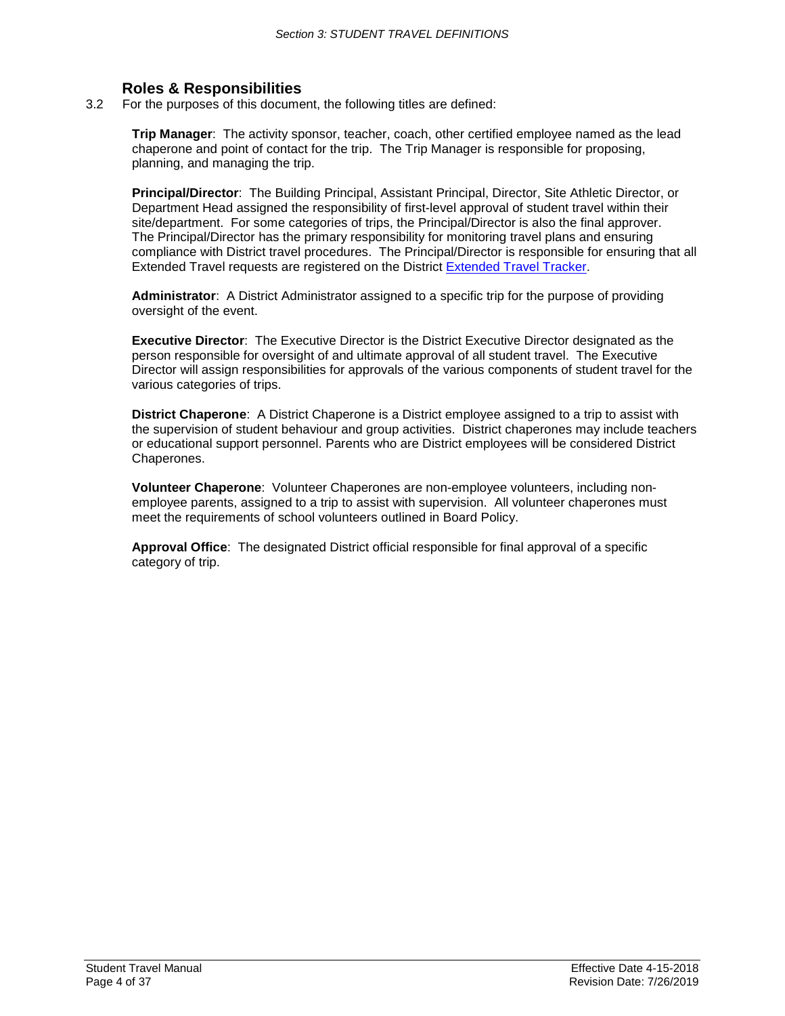# **Roles & Responsibilities**

<span id="page-3-0"></span>3.2 For the purposes of this document, the following titles are defined:

**Trip Manager**: The activity sponsor, teacher, coach, other certified employee named as the lead chaperone and point of contact for the trip. The Trip Manager is responsible for proposing, planning, and managing the trip.

**Principal/Director**: The Building Principal, Assistant Principal, Director, Site Athletic Director, or Department Head assigned the responsibility of first-level approval of student travel within their site/department. For some categories of trips, the Principal/Director is also the final approver. The Principal/Director has the primary responsibility for monitoring travel plans and ensuring compliance with District travel procedures. The Principal/Director is responsible for ensuring that all Extended Travel requests are registered on the District [Extended Travel Tracker.](https://docs.google.com/forms/d/e/1FAIpQLSdLu9L2V9lXMRX6xUwYl4SJwbPQNOA1sQ0RsqB0sRT0qOJ1wQ/viewform?usp=sf_link)

**Administrator**: A District Administrator assigned to a specific trip for the purpose of providing oversight of the event.

**Executive Director**: The Executive Director is the District Executive Director designated as the person responsible for oversight of and ultimate approval of all student travel. The Executive Director will assign responsibilities for approvals of the various components of student travel for the various categories of trips.

**District Chaperone**: A District Chaperone is a District employee assigned to a trip to assist with the supervision of student behaviour and group activities. District chaperones may include teachers or educational support personnel. Parents who are District employees will be considered District Chaperones.

**Volunteer Chaperone**: Volunteer Chaperones are non-employee volunteers, including nonemployee parents, assigned to a trip to assist with supervision. All volunteer chaperones must meet the requirements of school volunteers outlined in Board Policy.

**Approval Office**: The designated District official responsible for final approval of a specific category of trip.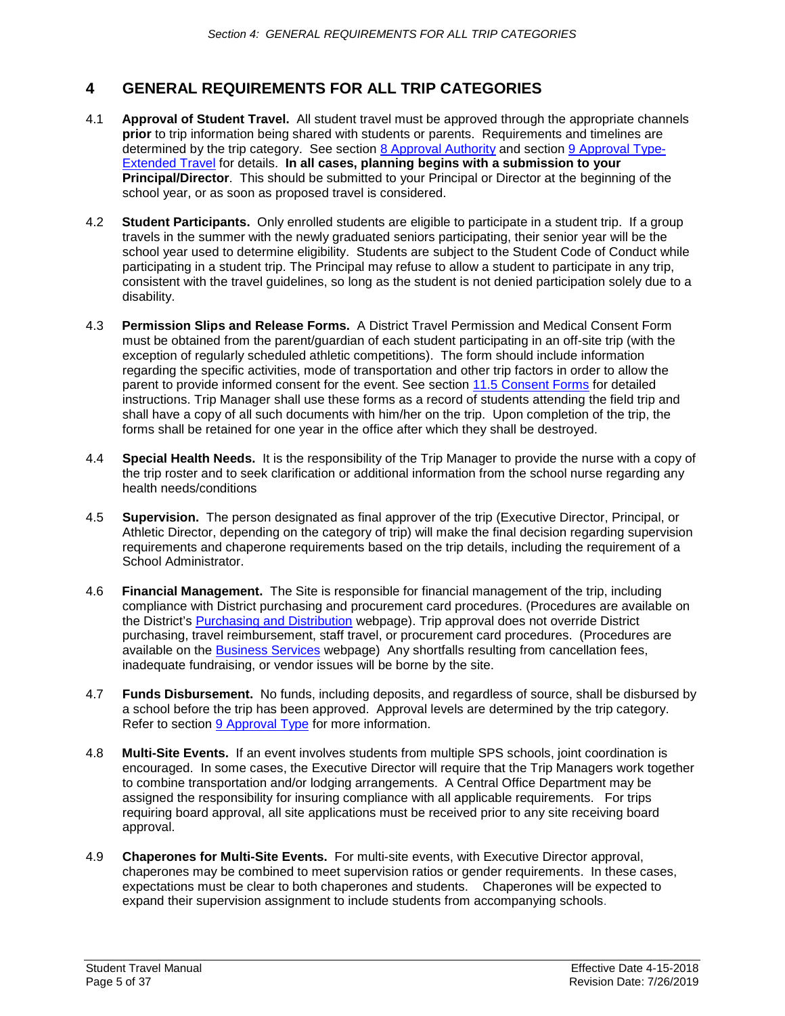# <span id="page-4-0"></span>**4 GENERAL REQUIREMENTS FOR ALL TRIP CATEGORIES**

- 4.1 **Approval of Student Travel.** All student travel must be approved through the appropriate channels **prior** to trip information being shared with students or parents. Requirements and timelines are determined by the trip category. See section [8 Approval Authority](#page-10-1) and section [9 Approval Type-](#page-11-1)[Extended Travel](#page-11-1) for details. **In all cases, planning begins with a submission to your Principal/Director**. This should be submitted to your Principal or Director at the beginning of the school year, or as soon as proposed travel is considered.
- 4.2 **Student Participants.** Only enrolled students are eligible to participate in a student trip. If a group travels in the summer with the newly graduated seniors participating, their senior year will be the school year used to determine eligibility. Students are subject to the Student Code of Conduct while participating in a student trip. The Principal may refuse to allow a student to participate in any trip, consistent with the travel guidelines, so long as the student is not denied participation solely due to a disability.
- 4.3 **Permission Slips and Release Forms.** A District Travel Permission and Medical Consent Form must be obtained from the parent/guardian of each student participating in an off-site trip (with the exception of regularly scheduled athletic competitions). The form should include information regarding the specific activities, mode of transportation and other trip factors in order to allow the parent to provide informed consent for the event. See section 11.5 [Consent Forms](#page-16-0) for detailed instructions. Trip Manager shall use these forms as a record of students attending the field trip and shall have a copy of all such documents with him/her on the trip. Upon completion of the trip, the forms shall be retained for one year in the office after which they shall be destroyed.
- 4.4 **Special Health Needs.** It is the responsibility of the Trip Manager to provide the nurse with a copy of the trip roster and to seek clarification or additional information from the school nurse regarding any health needs/conditions
- 4.5 **Supervision.** The person designated as final approver of the trip (Executive Director, Principal, or Athletic Director, depending on the category of trip) will make the final decision regarding supervision requirements and chaperone requirements based on the trip details, including the requirement of a School Administrator.
- 4.6 **Financial Management.** The Site is responsible for financial management of the trip, including compliance with District purchasing and procurement card procedures. (Procedures are available on the District's [Purchasing and Distribution](https://www.sps.org/domain/146) webpage). Trip approval does not override District purchasing, travel reimbursement, staff travel, or procurement card procedures. (Procedures are available on the [Business Services](https://www.sps.org/Domain/129) webpage) Any shortfalls resulting from cancellation fees, inadequate fundraising, or vendor issues will be borne by the site.
- 4.7 **Funds Disbursement.** No funds, including deposits, and regardless of source, shall be disbursed by a school before the trip has been approved. Approval levels are determined by the trip category. Refer to section [9 Approval Type](#page-11-1) for more information.
- 4.8 **Multi-Site Events.** If an event involves students from multiple SPS schools, joint coordination is encouraged. In some cases, the Executive Director will require that the Trip Managers work together to combine transportation and/or lodging arrangements. A Central Office Department may be assigned the responsibility for insuring compliance with all applicable requirements. For trips requiring board approval, all site applications must be received prior to any site receiving board approval.
- 4.9 **Chaperones for Multi-Site Events.** For multi-site events, with Executive Director approval, chaperones may be combined to meet supervision ratios or gender requirements. In these cases, expectations must be clear to both chaperones and students. Chaperones will be expected to expand their supervision assignment to include students from accompanying schools.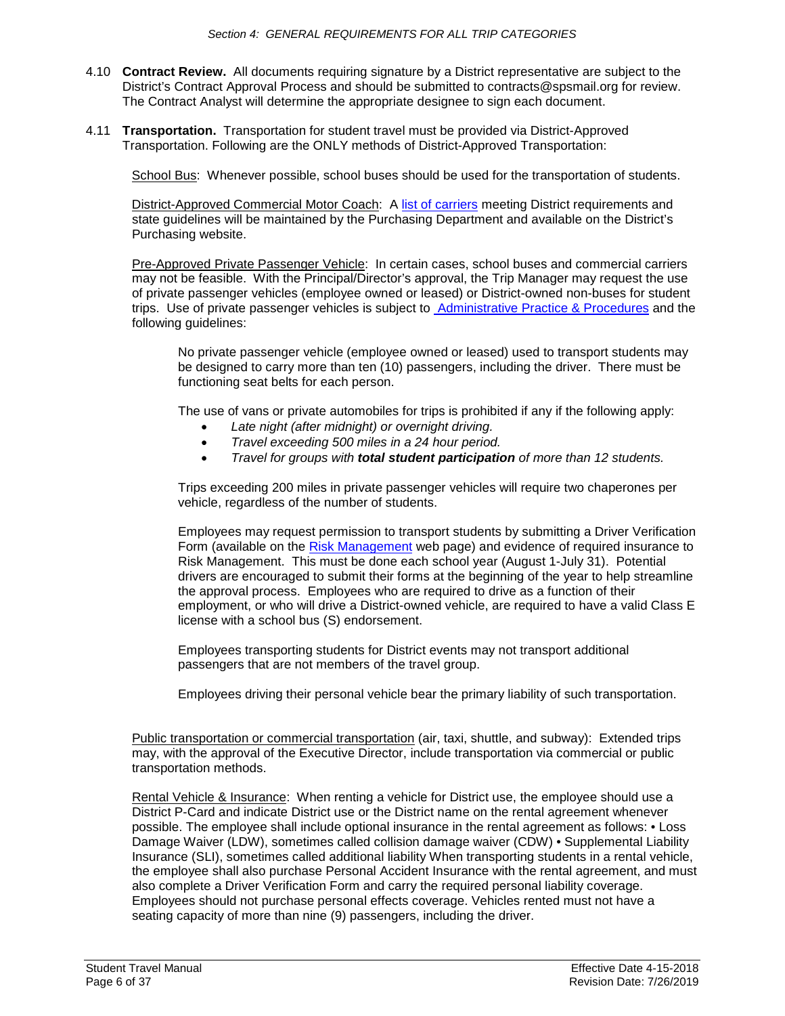- 4.10 **Contract Review.** All documents requiring signature by a District representative are subject to the District's Contract Approval Process and should be submitted to contracts@spsmail.org for review. The Contract Analyst will determine the appropriate designee to sign each document.
- 4.11 **Transportation.** Transportation for student travel must be provided via District-Approved Transportation. Following are the ONLY methods of District-Approved Transportation:

School Bus: Whenever possible, school buses should be used for the transportation of students.

District-Approved Commercial Motor Coach: A [list of carriers](https://www.sps.org/Page/4103) meeting District requirements and state guidelines will be maintained by the Purchasing Department and available on the District's Purchasing website.

Pre-Approved Private Passenger Vehicle: In certain cases, school buses and commercial carriers may not be feasible. With the Principal/Director's approval, the Trip Manager may request the use of private passenger vehicles (employee owned or leased) or District-owned non-buses for student trips. Use of private passenger vehicles is subject to **Administrative Practice & Procedures** and the following guidelines:

No private passenger vehicle (employee owned or leased) used to transport students may be designed to carry more than ten (10) passengers, including the driver. There must be functioning seat belts for each person.

The use of vans or private automobiles for trips is prohibited if any if the following apply:

- *Late night (after midnight) or overnight driving.*
- *Travel exceeding 500 miles in a 24 hour period.*
- *Travel for groups with total student participation of more than 12 students.*

Trips exceeding 200 miles in private passenger vehicles will require two chaperones per vehicle, regardless of the number of students.

Employees may request permission to transport students by submitting a Driver Verification Form (available on the [Risk Management](https://www.sps.org/Domain/144) web page) and evidence of required insurance to Risk Management. This must be done each school year (August 1-July 31). Potential drivers are encouraged to submit their forms at the beginning of the year to help streamline the approval process. Employees who are required to drive as a function of their employment, or who will drive a District-owned vehicle, are required to have a valid Class E license with a school bus (S) endorsement.

Employees transporting students for District events may not transport additional passengers that are not members of the travel group.

Employees driving their personal vehicle bear the primary liability of such transportation.

Public transportation or commercial transportation (air, taxi, shuttle, and subway): Extended trips may, with the approval of the Executive Director, include transportation via commercial or public transportation methods.

Rental Vehicle & Insurance: When renting a vehicle for District use, the employee should use a District P-Card and indicate District use or the District name on the rental agreement whenever possible. The employee shall include optional insurance in the rental agreement as follows: • Loss Damage Waiver (LDW), sometimes called collision damage waiver (CDW) • Supplemental Liability Insurance (SLI), sometimes called additional liability When transporting students in a rental vehicle, the employee shall also purchase Personal Accident Insurance with the rental agreement, and must also complete a Driver Verification Form and carry the required personal liability coverage. Employees should not purchase personal effects coverage. Vehicles rented must not have a seating capacity of more than nine (9) passengers, including the driver.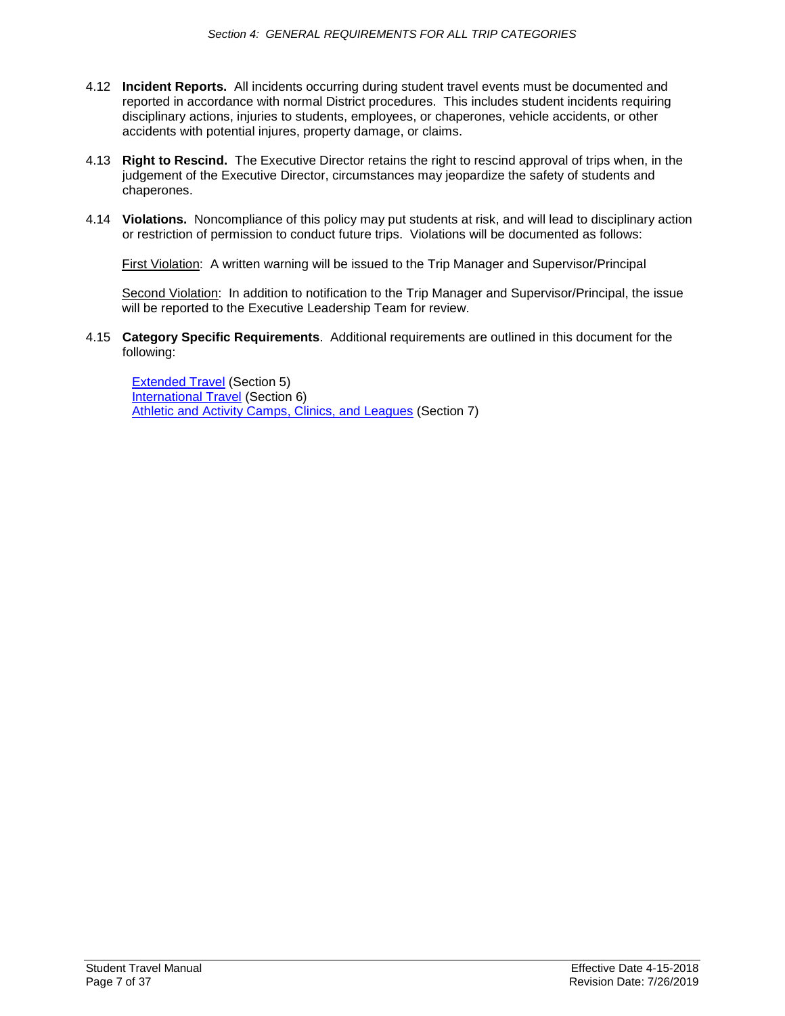- 4.12 **Incident Reports.** All incidents occurring during student travel events must be documented and reported in accordance with normal District procedures. This includes student incidents requiring disciplinary actions, injuries to students, employees, or chaperones, vehicle accidents, or other accidents with potential injures, property damage, or claims.
- 4.13 **Right to Rescind.** The Executive Director retains the right to rescind approval of trips when, in the judgement of the Executive Director, circumstances may jeopardize the safety of students and chaperones.
- 4.14 **Violations.** Noncompliance of this policy may put students at risk, and will lead to disciplinary action or restriction of permission to conduct future trips. Violations will be documented as follows:

First Violation: A written warning will be issued to the Trip Manager and Supervisor/Principal

Second Violation: In addition to notification to the Trip Manager and Supervisor/Principal, the issue will be reported to the Executive Leadership Team for review.

4.15 **Category Specific Requirements**. Additional requirements are outlined in this document for the following:

[Extended Travel](#page-7-0) (Section 5) [International Travel](#page-8-0) (Section 6) [Athletic and Activity Camps, Clinics, and Leagues](#page-9-0) (Section 7)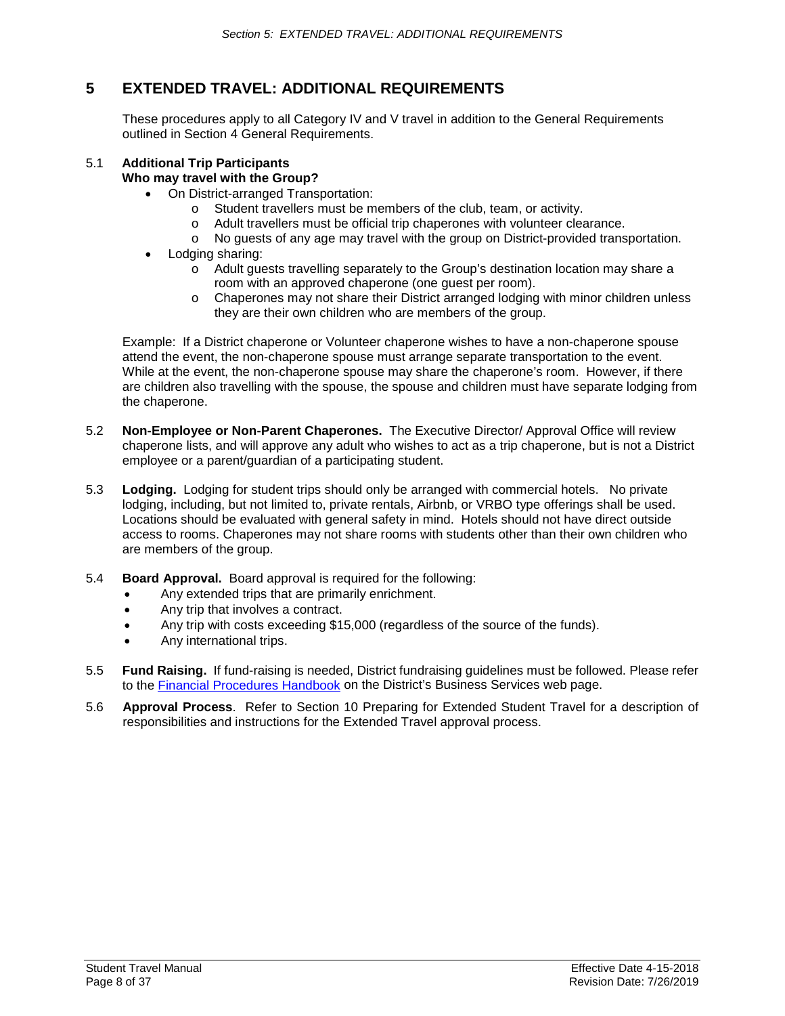# <span id="page-7-0"></span>**5 EXTENDED TRAVEL: ADDITIONAL REQUIREMENTS**

These procedures apply to all Category IV and V travel in addition to the General Requirements outlined in Section 4 General Requirements.

#### 5.1 **Additional Trip Participants Who may travel with the Group?**

- On District-arranged Transportation:
	- o Student travellers must be members of the club, team, or activity.
	- o Adult travellers must be official trip chaperones with volunteer clearance.
	- o No guests of any age may travel with the group on District-provided transportation.
- Lodging sharing:
	- o Adult guests travelling separately to the Group's destination location may share a room with an approved chaperone (one guest per room).
	- o Chaperones may not share their District arranged lodging with minor children unless they are their own children who are members of the group.

Example: If a District chaperone or Volunteer chaperone wishes to have a non-chaperone spouse attend the event, the non-chaperone spouse must arrange separate transportation to the event. While at the event, the non-chaperone spouse may share the chaperone's room. However, if there are children also travelling with the spouse, the spouse and children must have separate lodging from the chaperone.

- 5.2 **Non-Employee or Non-Parent Chaperones.** The Executive Director/ Approval Office will review chaperone lists, and will approve any adult who wishes to act as a trip chaperone, but is not a District employee or a parent/guardian of a participating student.
- 5.3 **Lodging.** Lodging for student trips should only be arranged with commercial hotels. No private lodging, including, but not limited to, private rentals, Airbnb, or VRBO type offerings shall be used. Locations should be evaluated with general safety in mind. Hotels should not have direct outside access to rooms. Chaperones may not share rooms with students other than their own children who are members of the group.
- 5.4 **Board Approval.** Board approval is required for the following:
	- Any extended trips that are primarily enrichment.
	- Any trip that involves a contract.
	- Any trip with costs exceeding \$15,000 (regardless of the source of the funds).
	- Any international trips.
- 5.5 **Fund Raising.** If fund-raising is needed, District fundraising guidelines must be followed. Please refer to the [Financial Procedures Handbook](https://www.sps.org/Page/4695) on the District's Business Services web page.
- 5.6 **Approval Process**. Refer to Section 10 Preparing for Extended Student Travel for a description of responsibilities and instructions for the Extended Travel approval process.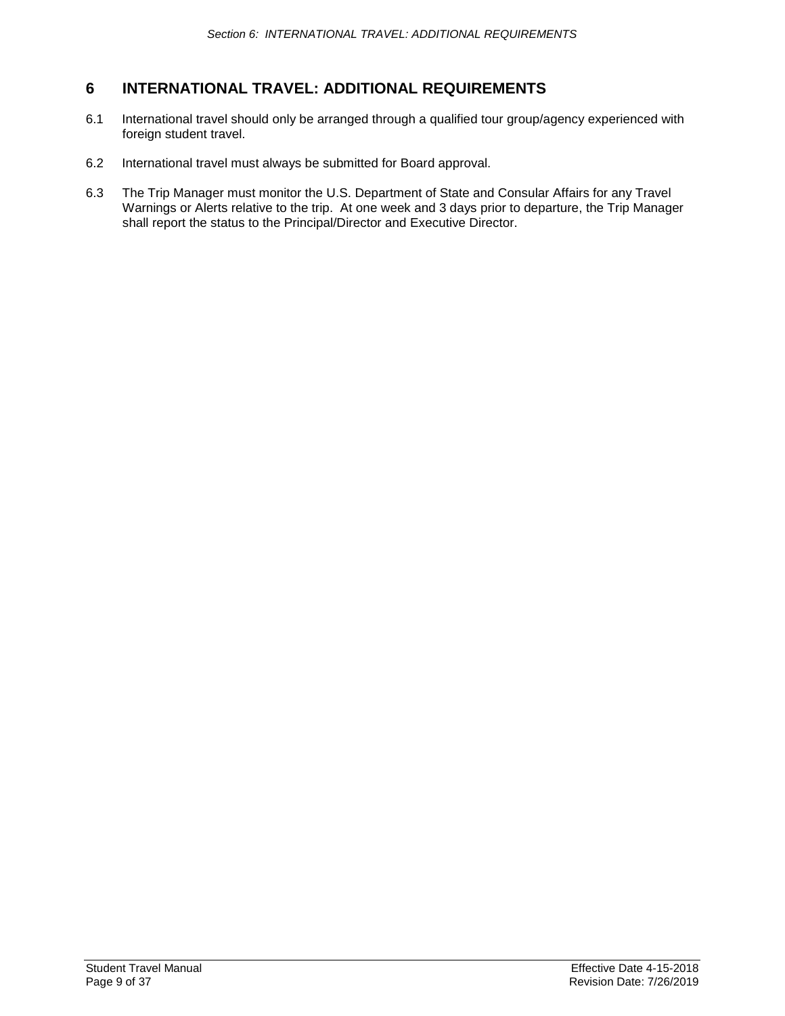# <span id="page-8-0"></span>**6 INTERNATIONAL TRAVEL: ADDITIONAL REQUIREMENTS**

- 6.1 International travel should only be arranged through a qualified tour group/agency experienced with foreign student travel.
- 6.2 International travel must always be submitted for Board approval.
- 6.3 The Trip Manager must monitor the U.S. Department of State and Consular Affairs for any Travel Warnings or Alerts relative to the trip. At one week and 3 days prior to departure, the Trip Manager shall report the status to the Principal/Director and Executive Director.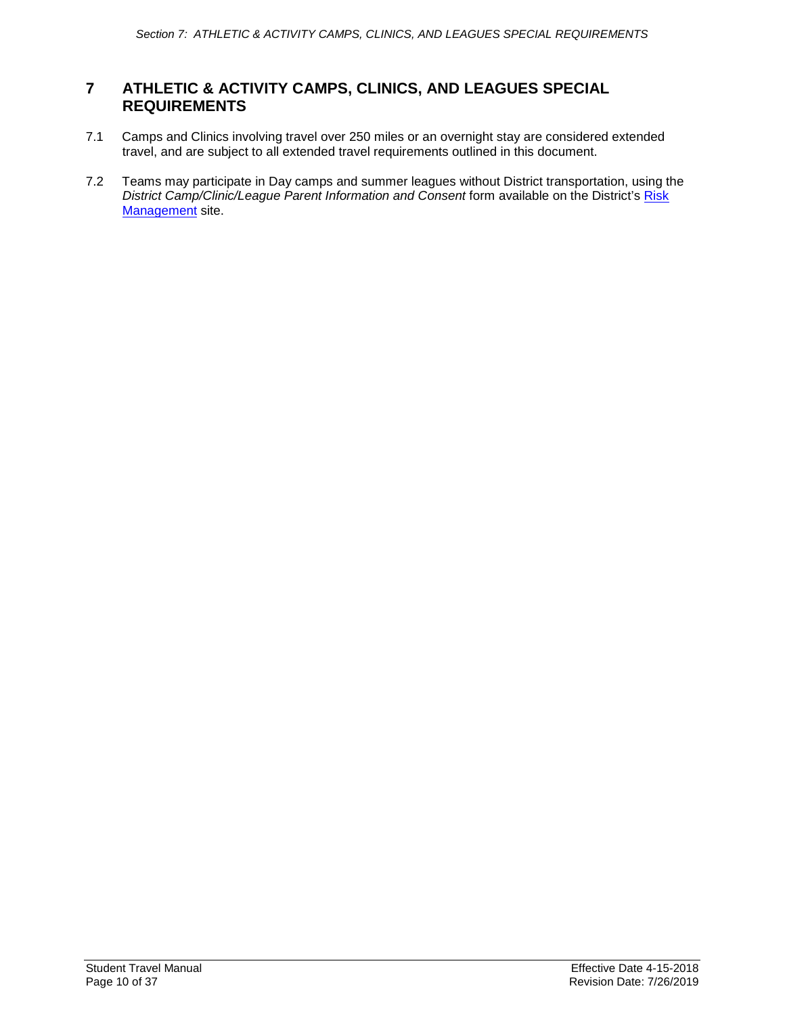# <span id="page-9-0"></span>**7 ATHLETIC & ACTIVITY CAMPS, CLINICS, AND LEAGUES SPECIAL REQUIREMENTS**

- 7.1 Camps and Clinics involving travel over 250 miles or an overnight stay are considered extended travel, and are subject to all extended travel requirements outlined in this document.
- 7.2 Teams may participate in Day camps and summer leagues without District transportation, using the *District Camp/Clinic/League Parent Information and Consent* form available on the District's [Risk](https://www.sps.org/Domain/144)  [Management](https://www.sps.org/Domain/144) site.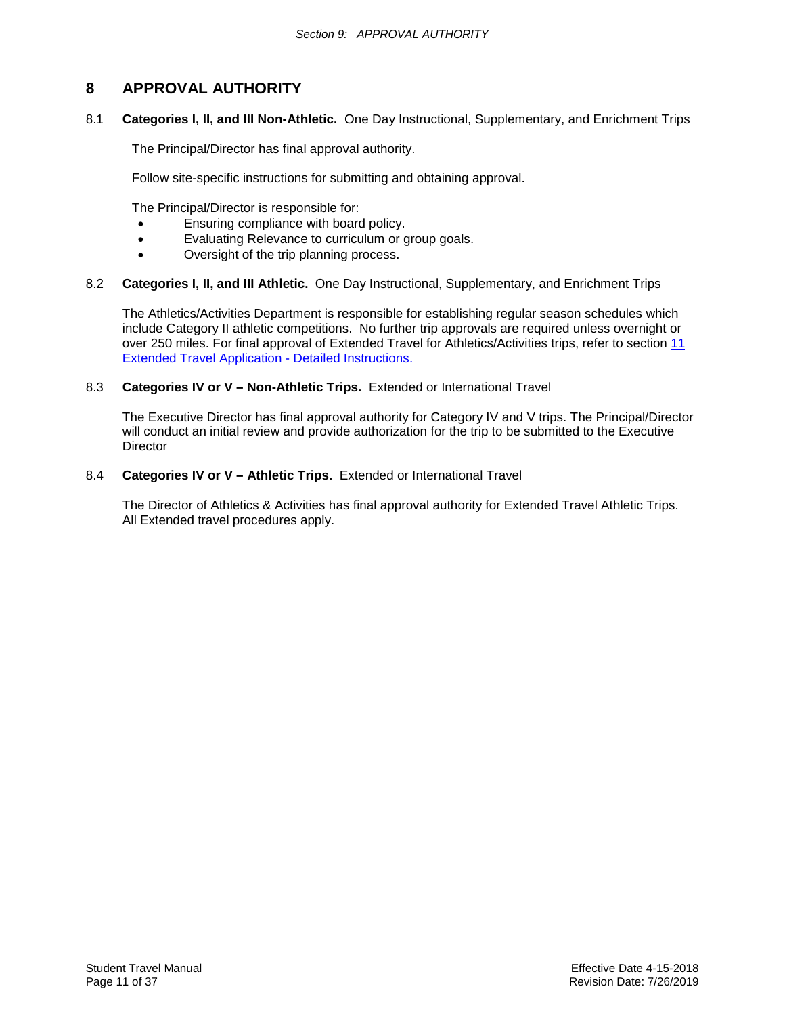# <span id="page-10-1"></span><span id="page-10-0"></span>**8 APPROVAL AUTHORITY**

8.1 **Categories I, II, and III Non-Athletic.** One Day Instructional, Supplementary, and Enrichment Trips

The Principal/Director has final approval authority.

Follow site-specific instructions for submitting and obtaining approval.

The Principal/Director is responsible for:

- Ensuring compliance with board policy.
- Evaluating Relevance to curriculum or group goals.
- Oversight of the trip planning process.

#### 8.2 **Categories I, II, and III Athletic.** One Day Instructional, Supplementary, and Enrichment Trips

The Athletics/Activities Department is responsible for establishing regular season schedules which include Category II athletic competitions. No further trip approvals are required unless overnight or over 250 miles. For final approval of Extended Travel for Athletics/Activities trips, refer to section [11](#page-17-1)  [Extended Travel Application -](#page-17-1) Detailed Instructions.

#### 8.3 **Categories IV or V – Non-Athletic Trips.** Extended or International Travel

The Executive Director has final approval authority for Category IV and V trips. The Principal/Director will conduct an initial review and provide authorization for the trip to be submitted to the Executive **Director** 

#### 8.4 **Categories IV or V – Athletic Trips.** Extended or International Travel

The Director of Athletics & Activities has final approval authority for Extended Travel Athletic Trips. All Extended travel procedures apply.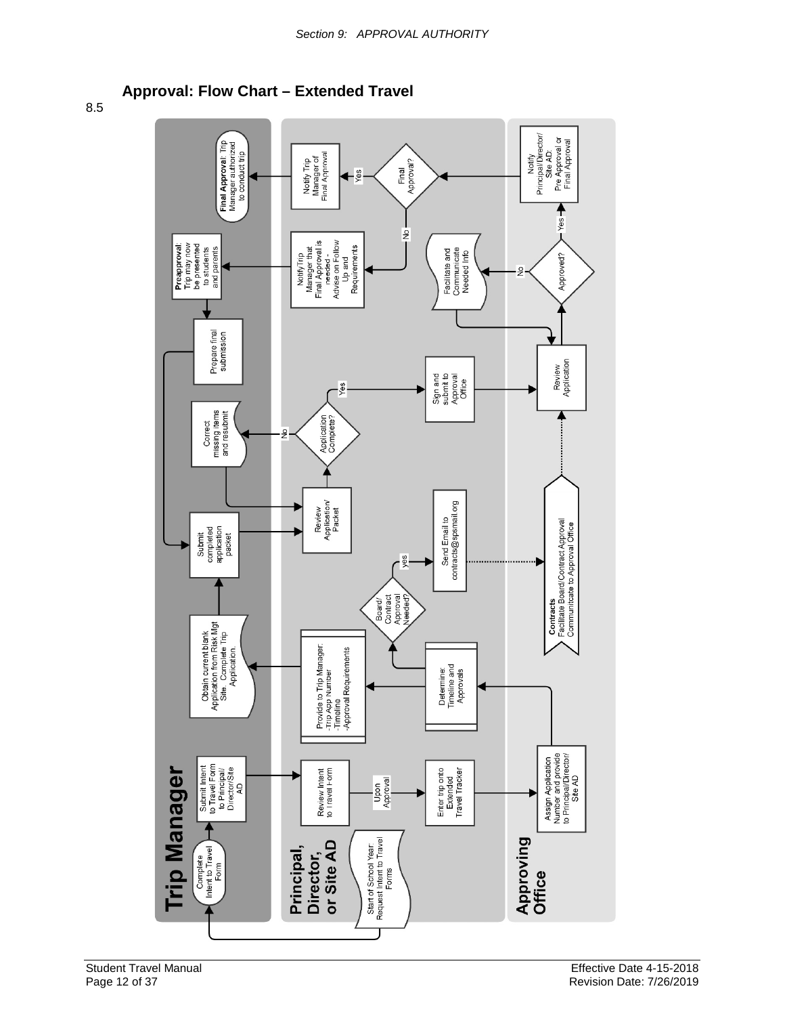**Approval: Flow Chart – Extended Travel**

<span id="page-11-1"></span><span id="page-11-0"></span>8.5

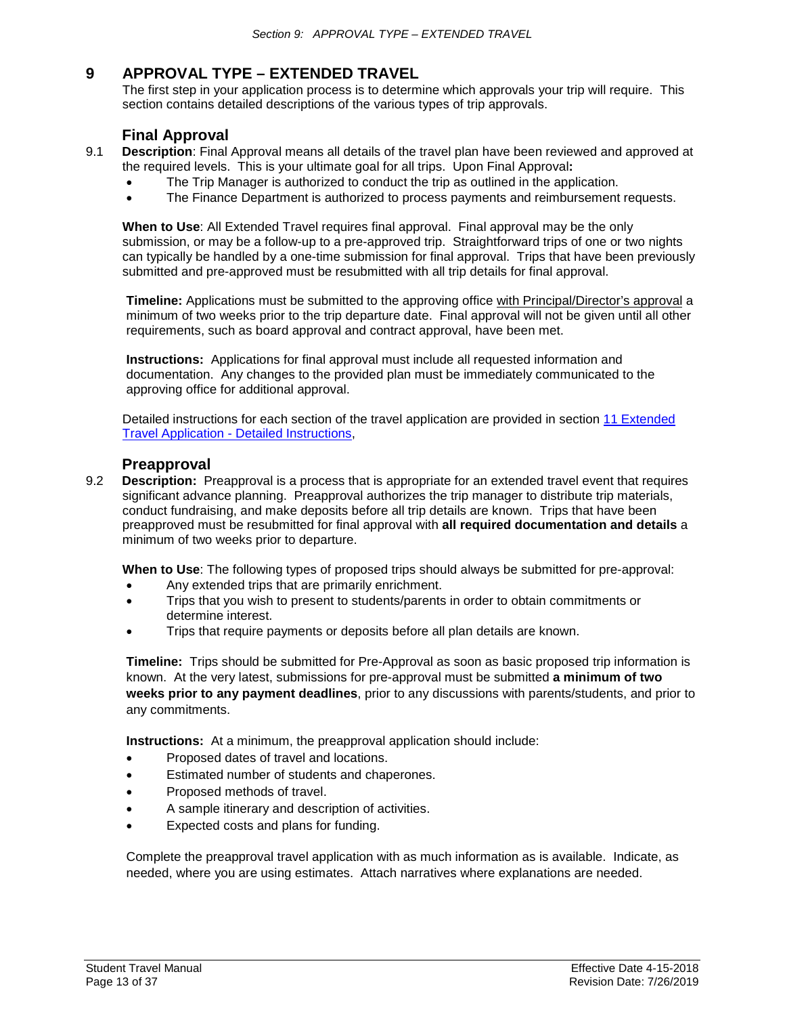# <span id="page-12-0"></span>**9 APPROVAL TYPE – EXTENDED TRAVEL**

The first step in your application process is to determine which approvals your trip will require. This section contains detailed descriptions of the various types of trip approvals.

# **Final Approval**

- <span id="page-12-1"></span>9.1 **Description**: Final Approval means all details of the travel plan have been reviewed and approved at the required levels. This is your ultimate goal for all trips. Upon Final Approval**:**
	- The Trip Manager is authorized to conduct the trip as outlined in the application.
	- The Finance Department is authorized to process payments and reimbursement requests.

**When to Use**: All Extended Travel requires final approval. Final approval may be the only submission, or may be a follow-up to a pre-approved trip. Straightforward trips of one or two nights can typically be handled by a one-time submission for final approval. Trips that have been previously submitted and pre-approved must be resubmitted with all trip details for final approval.

**Timeline:** Applications must be submitted to the approving office with Principal/Director's approval a minimum of two weeks prior to the trip departure date. Final approval will not be given until all other requirements, such as board approval and contract approval, have been met.

**Instructions:** Applications for final approval must include all requested information and documentation. Any changes to the provided plan must be immediately communicated to the approving office for additional approval.

Detailed instructions for each section of the travel application are provided in section [11 Extended](#page-15-0)  Travel Application - [Detailed Instructions,](#page-15-0)

### **Preapproval**

<span id="page-12-2"></span>9.2 **Description:** Preapproval is a process that is appropriate for an extended travel event that requires significant advance planning. Preapproval authorizes the trip manager to distribute trip materials, conduct fundraising, and make deposits before all trip details are known. Trips that have been preapproved must be resubmitted for final approval with **all required documentation and details** a minimum of two weeks prior to departure.

**When to Use**: The following types of proposed trips should always be submitted for pre-approval:

- Any extended trips that are primarily enrichment.
- Trips that you wish to present to students/parents in order to obtain commitments or determine interest.
- Trips that require payments or deposits before all plan details are known.

**Timeline:** Trips should be submitted for Pre-Approval as soon as basic proposed trip information is known. At the very latest, submissions for pre-approval must be submitted **a minimum of two weeks prior to any payment deadlines**, prior to any discussions with parents/students, and prior to any commitments.

**Instructions:** At a minimum, the preapproval application should include:

- Proposed dates of travel and locations.
- Estimated number of students and chaperones.
- Proposed methods of travel.
- A sample itinerary and description of activities.
- Expected costs and plans for funding.

Complete the preapproval travel application with as much information as is available. Indicate, as needed, where you are using estimates. Attach narratives where explanations are needed.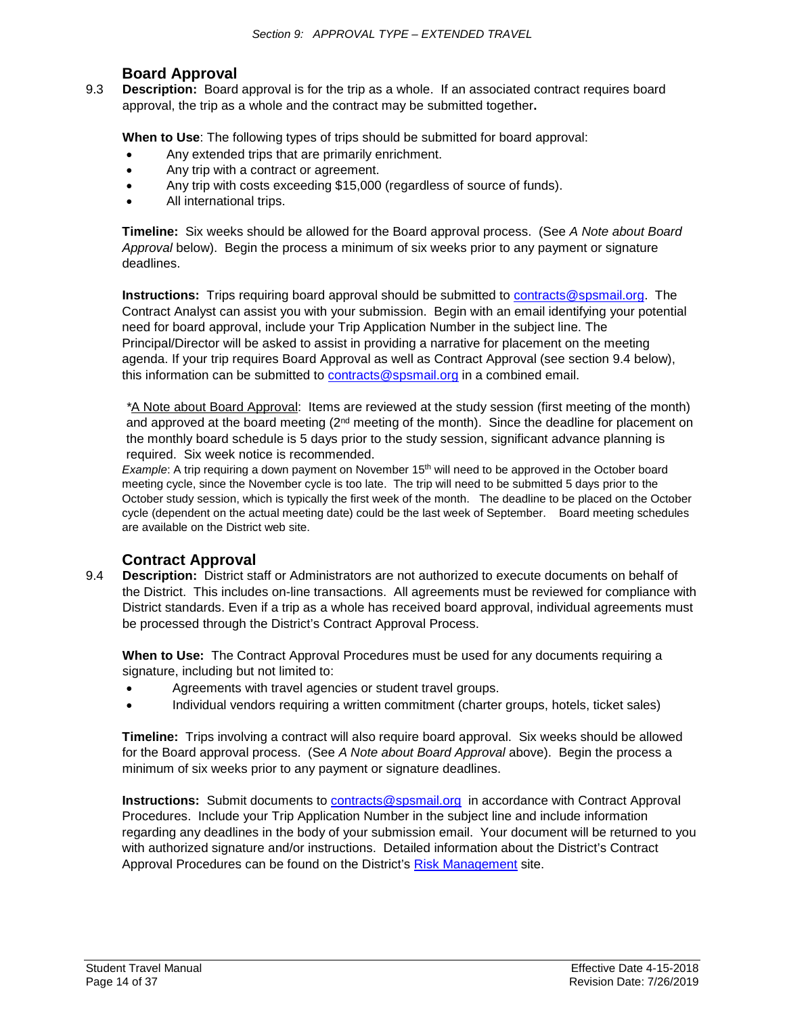# **Board Approval**

<span id="page-13-0"></span>9.3 **Description:** Board approval is for the trip as a whole. If an associated contract requires board approval, the trip as a whole and the contract may be submitted together**.**

**When to Use**: The following types of trips should be submitted for board approval:

- Any extended trips that are primarily enrichment.
- Any trip with a contract or agreement.
- Any trip with costs exceeding \$15,000 (regardless of source of funds).
- All international trips.

**Timeline:** Six weeks should be allowed for the Board approval process. (See *A Note about Board Approval* below). Begin the process a minimum of six weeks prior to any payment or signature deadlines.

**Instructions:** Trips requiring board approval should be submitted to [contracts@spsmail.org.](mailto:contracts@spsmail.org) The Contract Analyst can assist you with your submission. Begin with an email identifying your potential need for board approval, include your Trip Application Number in the subject line. The Principal/Director will be asked to assist in providing a narrative for placement on the meeting agenda. If your trip requires Board Approval as well as Contract Approval (see section 9.4 below), this information can be submitted to [contracts@spsmail.org](mailto:contracts@spsmail.org) in a combined email.

*\**A Note about Board Approval: Items are reviewed at the study session (first meeting of the month) and approved at the board meeting  $(2<sup>nd</sup>$  meeting of the month). Since the deadline for placement on the monthly board schedule is 5 days prior to the study session, significant advance planning is required. Six week notice is recommended.

*Example*: A trip requiring a down payment on November 15<sup>th</sup> will need to be approved in the October board meeting cycle, since the November cycle is too late. The trip will need to be submitted 5 days prior to the October study session, which is typically the first week of the month. The deadline to be placed on the October cycle (dependent on the actual meeting date) could be the last week of September. Board meeting schedules are available on the District web site.

# **Contract Approval**

<span id="page-13-1"></span>9.4 **Description:** District staff or Administrators are not authorized to execute documents on behalf of the District. This includes on-line transactions. All agreements must be reviewed for compliance with District standards. Even if a trip as a whole has received board approval, individual agreements must be processed through the District's Contract Approval Process.

**When to Use:** The Contract Approval Procedures must be used for any documents requiring a signature, including but not limited to:

- Agreements with travel agencies or student travel groups.
- Individual vendors requiring a written commitment (charter groups, hotels, ticket sales)

**Timeline:** Trips involving a contract will also require board approval. Six weeks should be allowed for the Board approval process. (See *A Note about Board Approval* above). Begin the process a minimum of six weeks prior to any payment or signature deadlines.

**Instructions:** Submit documents to [contracts@spsmail.org](mailto:contracts@spsmail.org) in accordance with Contract Approval Procedures. Include your Trip Application Number in the subject line and include information regarding any deadlines in the body of your submission email. Your document will be returned to you with authorized signature and/or instructions. Detailed information about the District's Contract Approval Procedures can be found on the District's [Risk Management](https://www.sps.org/Domain/144) site.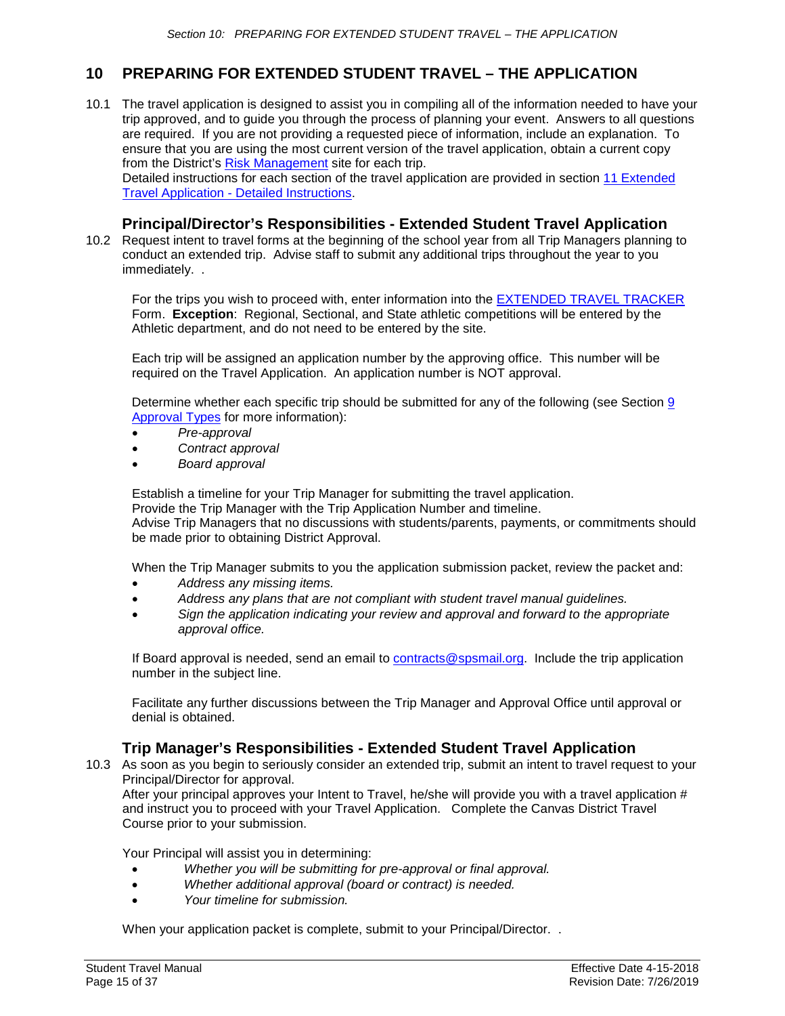# <span id="page-14-0"></span>**10 PREPARING FOR EXTENDED STUDENT TRAVEL – THE APPLICATION**

10.1 The travel application is designed to assist you in compiling all of the information needed to have your trip approved, and to guide you through the process of planning your event. Answers to all questions are required. If you are not providing a requested piece of information, include an explanation. To ensure that you are using the most current version of the travel application, obtain a current copy from the District's [Risk Management](https://www.sps.org/Domain/144) site for each trip.

Detailed instructions for each section of the travel application are provided in section [11 Extended](#page-15-0)  Travel Application - [Detailed Instructions.](#page-15-0)

# **Principal/Director's Responsibilities - Extended Student Travel Application**

<span id="page-14-1"></span>10.2 Request intent to travel forms at the beginning of the school year from all Trip Managers planning to conduct an extended trip. Advise staff to submit any additional trips throughout the year to you immediately. .

For the trips you wish to proceed with, enter information into the [EXTENDED TRAVEL TRACKER](https://docs.google.com/forms/d/e/1FAIpQLSdLu9L2V9lXMRX6xUwYl4SJwbPQNOA1sQ0RsqB0sRT0qOJ1wQ/viewform?usp=sf_link) Form. **Exception**: Regional, Sectional, and State athletic competitions will be entered by the Athletic department, and do not need to be entered by the site.

Each trip will be assigned an application number by the approving office. This number will be required on the Travel Application. An application number is NOT approval.

Determine whether each specific trip should be submitted for any of the following (see Section [9](#page-11-1) [Approval Types](#page-11-1) for more information):

- *Pre-approval*
- *Contract approval*
- *Board approval*

Establish a timeline for your Trip Manager for submitting the travel application.

Provide the Trip Manager with the Trip Application Number and timeline.

Advise Trip Managers that no discussions with students/parents, payments, or commitments should be made prior to obtaining District Approval.

When the Trip Manager submits to you the application submission packet, review the packet and:

- *Address any missing items.*
- *Address any plans that are not compliant with student travel manual guidelines.*
- *Sign the application indicating your review and approval and forward to the appropriate approval office.*

If Board approval is needed, send an email to [contracts@spsmail.org.](mailto:contracts@spsmail.org) Include the trip application number in the subject line.

Facilitate any further discussions between the Trip Manager and Approval Office until approval or denial is obtained.

# **Trip Manager's Responsibilities - Extended Student Travel Application**

<span id="page-14-2"></span>10.3 As soon as you begin to seriously consider an extended trip, submit an intent to travel request to your Principal/Director for approval.

After your principal approves your Intent to Travel, he/she will provide you with a travel application # and instruct you to proceed with your Travel Application. Complete the Canvas District Travel Course prior to your submission.

Your Principal will assist you in determining:

- *Whether you will be submitting for pre-approval or final approval.*
- *Whether additional approval (board or contract) is needed.*
- *Your timeline for submission.*

When your application packet is complete, submit to your Principal/Director. .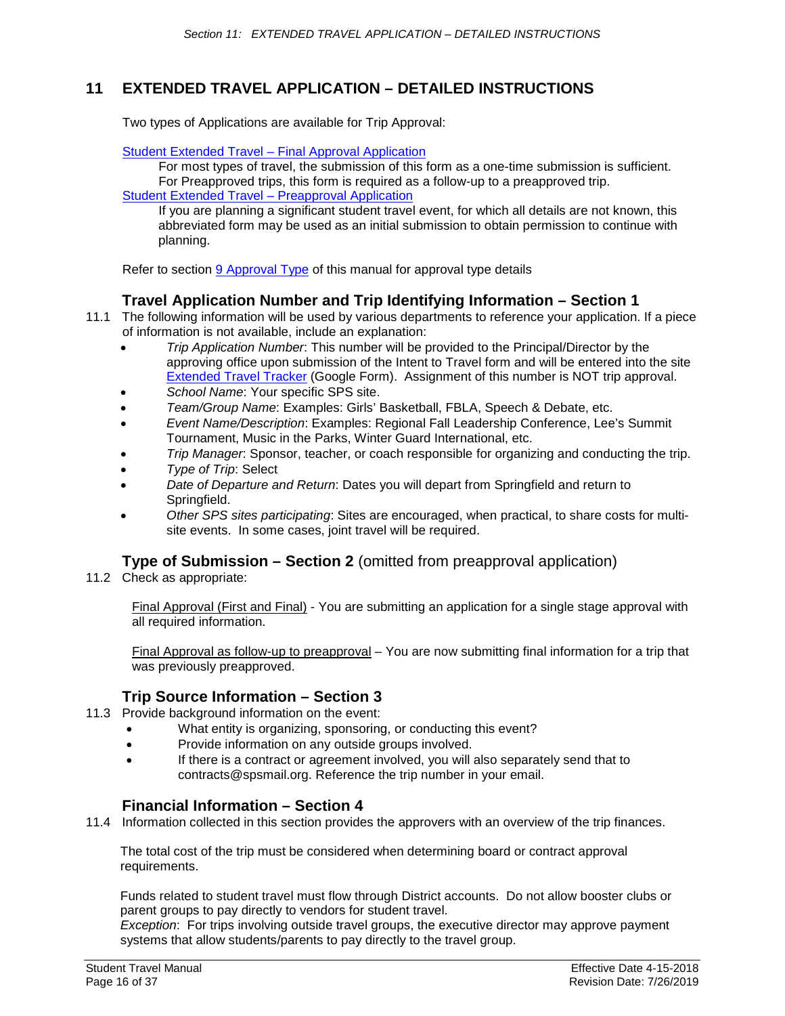# <span id="page-15-0"></span>**11 EXTENDED TRAVEL APPLICATION – DETAILED INSTRUCTIONS**

Two types of Applications are available for Trip Approval:

#### [Student Extended Travel –](#page-20-0) Final Approval Application

For most types of travel, the submission of this form as a one-time submission is sufficient. For Preapproved trips, this form is required as a follow-up to a preapproved trip. [Student Extended Travel –](#page-22-0) Preapproval Application

If you are planning a significant student travel event, for which all details are not known, this abbreviated form may be used as an initial submission to obtain permission to continue with planning.

Refer to section [9 Approval Type](#page-12-0) of this manual for approval type details

# **Travel Application Number and Trip Identifying Information – Section 1**

- <span id="page-15-1"></span>11.1 The following information will be used by various departments to reference your application. If a piece of information is not available, include an explanation:
	- *Trip Application Number*: This number will be provided to the Principal/Director by the approving office upon submission of the Intent to Travel form and will be entered into the site [Extended Travel Tracker](https://docs.google.com/forms/d/e/1FAIpQLSdLu9L2V9lXMRX6xUwYl4SJwbPQNOA1sQ0RsqB0sRT0qOJ1wQ/viewform?pli=1) (Google Form). Assignment of this number is NOT trip approval.
	- *School Name*: Your specific SPS site.
	- *Team/Group Name*: Examples: Girls' Basketball, FBLA, Speech & Debate, etc.
	- *Event Name/Description*: Examples: Regional Fall Leadership Conference, Lee's Summit Tournament, Music in the Parks, Winter Guard International, etc.
	- *Trip Manager*: Sponsor, teacher, or coach responsible for organizing and conducting the trip.
	- *Type of Trip*: Select
	- *Date of Departure and Return*: Dates you will depart from Springfield and return to Springfield.
	- *Other SPS sites participating*: Sites are encouraged, when practical, to share costs for multisite events. In some cases, joint travel will be required.

# **Type of Submission – Section 2** (omitted from preapproval application)

<span id="page-15-2"></span>11.2 Check as appropriate:

Final Approval (First and Final) - You are submitting an application for a single stage approval with all required information.

Final Approval as follow-up to preapproval – You are now submitting final information for a trip that was previously preapproved.

# **Trip Source Information – Section 3**

- <span id="page-15-3"></span>11.3 Provide background information on the event:
	- What entity is organizing, sponsoring, or conducting this event?
	- Provide information on any outside groups involved.
	- If there is a contract or agreement involved, you will also separately send that to contracts@spsmail.org. Reference the trip number in your email.

# **Financial Information – Section 4**

<span id="page-15-4"></span>11.4 Information collected in this section provides the approvers with an overview of the trip finances.

The total cost of the trip must be considered when determining board or contract approval requirements.

Funds related to student travel must flow through District accounts. Do not allow booster clubs or parent groups to pay directly to vendors for student travel.

*Exception*: For trips involving outside travel groups, the executive director may approve payment systems that allow students/parents to pay directly to the travel group.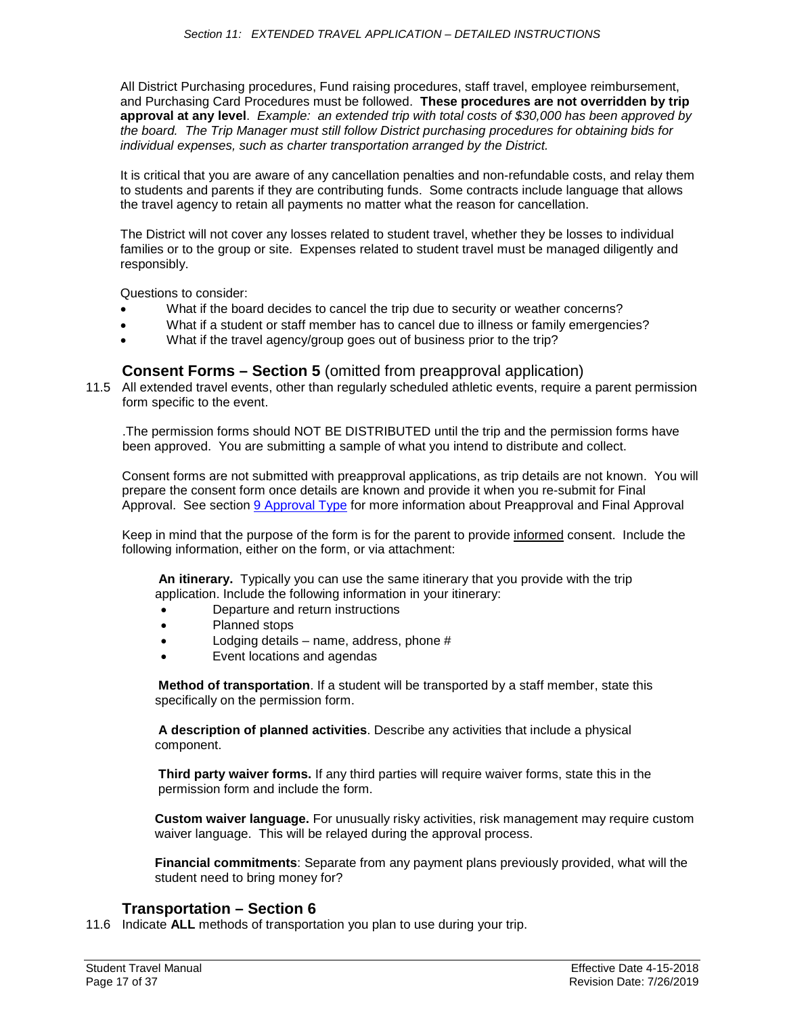All District Purchasing procedures, Fund raising procedures, staff travel, employee reimbursement, and Purchasing Card Procedures must be followed. **These procedures are not overridden by trip approval at any level**. *Example: an extended trip with total costs of \$30,000 has been approved by the board. The Trip Manager must still follow District purchasing procedures for obtaining bids for individual expenses, such as charter transportation arranged by the District.*

It is critical that you are aware of any cancellation penalties and non-refundable costs, and relay them to students and parents if they are contributing funds. Some contracts include language that allows the travel agency to retain all payments no matter what the reason for cancellation.

The District will not cover any losses related to student travel, whether they be losses to individual families or to the group or site. Expenses related to student travel must be managed diligently and responsibly.

Questions to consider:

- What if the board decides to cancel the trip due to security or weather concerns?
- What if a student or staff member has to cancel due to illness or family emergencies?
- What if the travel agency/group goes out of business prior to the trip?

# **Consent Forms – Section 5** (omitted from preapproval application)

<span id="page-16-0"></span>11.5 All extended travel events, other than regularly scheduled athletic events, require a parent permission form specific to the event.

.The permission forms should NOT BE DISTRIBUTED until the trip and the permission forms have been approved. You are submitting a sample of what you intend to distribute and collect.

Consent forms are not submitted with preapproval applications, as trip details are not known. You will prepare the consent form once details are known and provide it when you re-submit for Final Approval. See section [9 Approval Type](#page-11-1) for more information about Preapproval and Final Approval

Keep in mind that the purpose of the form is for the parent to provide informed consent. Include the following information, either on the form, or via attachment:

**An itinerary.** Typically you can use the same itinerary that you provide with the trip application. Include the following information in your itinerary:

- Departure and return instructions
- Planned stops
- Lodging details name, address, phone  $#$
- Event locations and agendas

**Method of transportation**. If a student will be transported by a staff member, state this specifically on the permission form.

**A description of planned activities**. Describe any activities that include a physical component.

**Third party waiver forms.** If any third parties will require waiver forms, state this in the permission form and include the form.

**Custom waiver language.** For unusually risky activities, risk management may require custom waiver language. This will be relayed during the approval process.

**Financial commitments**: Separate from any payment plans previously provided, what will the student need to bring money for?

### **Transportation – Section 6**

<span id="page-16-1"></span>11.6 Indicate **ALL** methods of transportation you plan to use during your trip.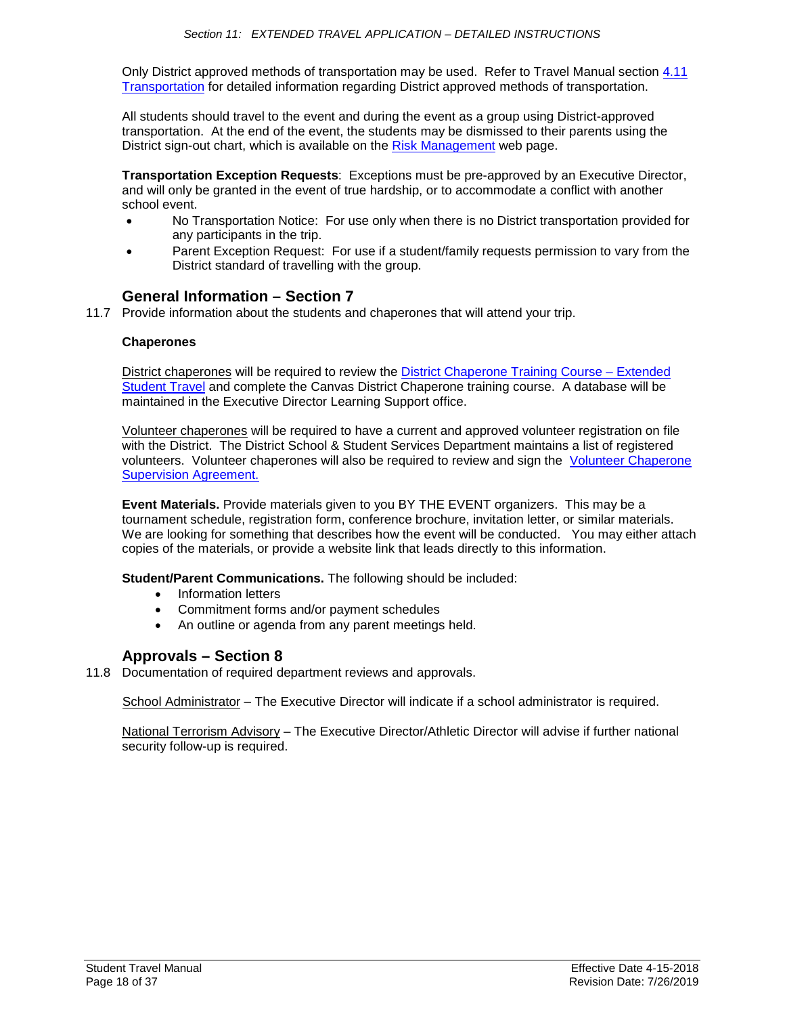Only District approved methods of transportation may be used. Refer to Travel Manual section [4.11](#page-4-0)  [Transportation](#page-4-0) for detailed information regarding District approved methods of transportation.

All students should travel to the event and during the event as a group using District-approved transportation. At the end of the event, the students may be dismissed to their parents using the District sign-out chart, which is available on the [Risk Management](https://www.sps.org/domain/144) web page.

**Transportation Exception Requests**: Exceptions must be pre-approved by an Executive Director, and will only be granted in the event of true hardship, or to accommodate a conflict with another school event.

- No Transportation Notice: For use only when there is no District transportation provided for any participants in the trip.
- Parent Exception Request: For use if a student/family requests permission to vary from the District standard of travelling with the group.

# **General Information – Section 7**

<span id="page-17-0"></span>11.7 Provide information about the students and chaperones that will attend your trip.

#### **Chaperones**

District chaperones will be required to review the [District Chaperone Training Course](#page-24-0) – Extended [Student Travel](#page-24-0) and complete the Canvas District Chaperone training course. A database will be maintained in the Executive Director Learning Support office.

Volunteer chaperones will be required to have a current and approved volunteer registration on file with the District. The District School & Student Services Department maintains a list of registered volunteers. Volunteer chaperones will also be required to review and sign the [Volunteer Chaperone](#page-32-1)  [Supervision Agreement.](#page-32-1)

**Event Materials.** Provide materials given to you BY THE EVENT organizers. This may be a tournament schedule, registration form, conference brochure, invitation letter, or similar materials. We are looking for something that describes how the event will be conducted. You may either attach copies of the materials, or provide a website link that leads directly to this information.

**Student/Parent Communications.** The following should be included:

- Information letters
- Commitment forms and/or payment schedules
- An outline or agenda from any parent meetings held.

# **Approvals – Section 8**

<span id="page-17-1"></span>11.8 Documentation of required department reviews and approvals.

School Administrator – The Executive Director will indicate if a school administrator is required.

National Terrorism Advisory – The Executive Director/Athletic Director will advise if further national security follow-up is required.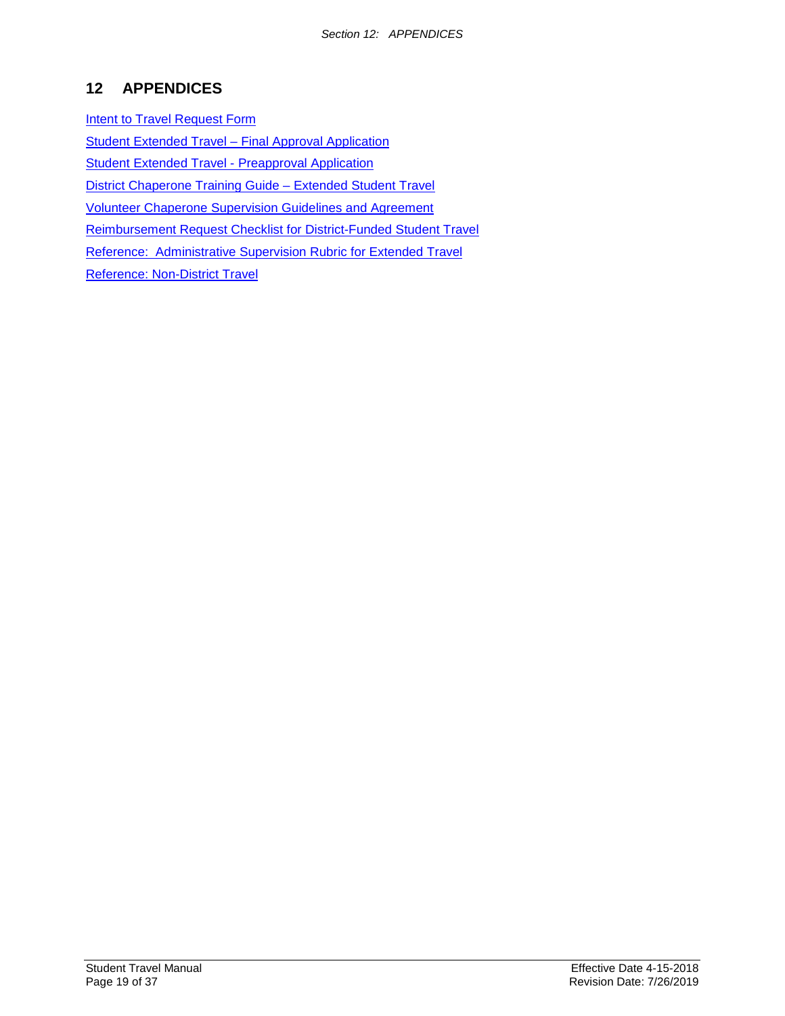# <span id="page-18-0"></span>**12 APPENDICES**

[Intent to Travel Request Form](#page-19-0) [Student Extended Travel –](#page-20-0) Final Approval Application [Student Extended Travel](#page-20-0) - Preapproval Application [District Chaperone Training Guide –](#page-24-0) Extended Student Travel Volunteer Chaperone [Supervision Guidelines and Agreement](#page-32-0) [Reimbursement Request Checklist for District-Funded Student Travel](#page-33-0) [Reference: Administrative Supervision Rubric for Extended Travel](#page-34-0) [Reference: Non-District Travel](#page-35-0)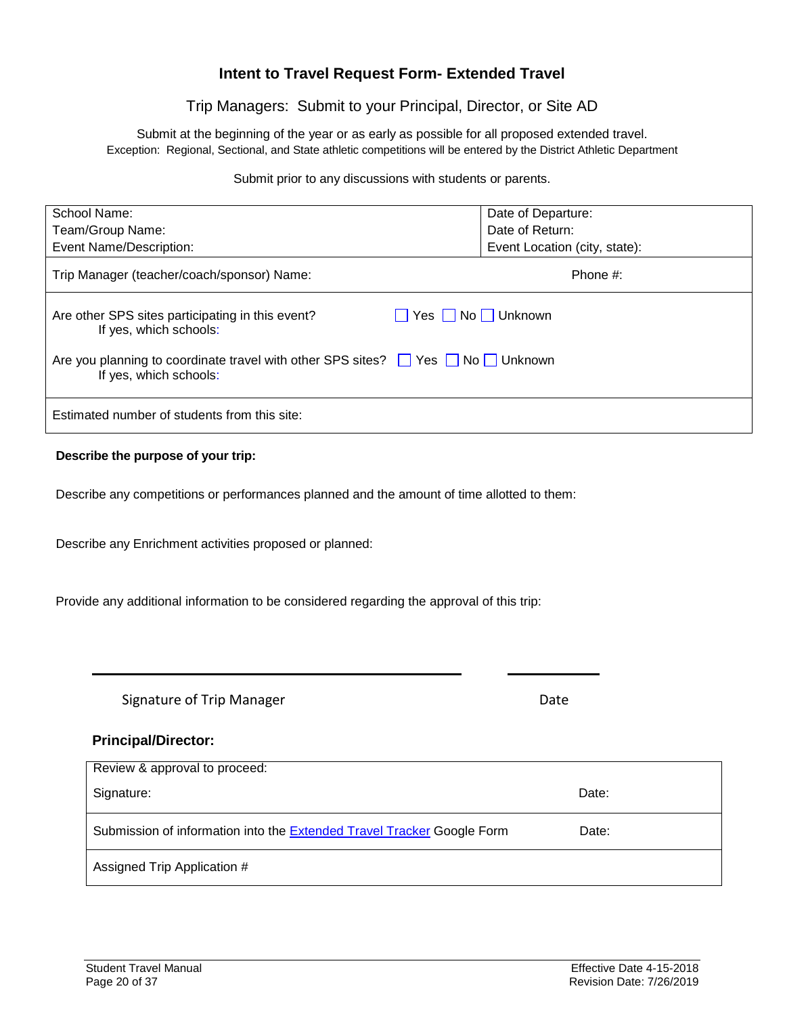# **Intent to Travel Request Form- Extended Travel**

# Trip Managers: Submit to your Principal, Director, or Site AD

<span id="page-19-0"></span>Submit at the beginning of the year or as early as possible for all proposed extended travel. Exception: Regional, Sectional, and State athletic competitions will be entered by the District Athletic Department

Submit prior to any discussions with students or parents.

| School Name:                                                                                                | Date of Departure:            |  |  |
|-------------------------------------------------------------------------------------------------------------|-------------------------------|--|--|
| Team/Group Name:                                                                                            | Date of Return:               |  |  |
| Event Name/Description:                                                                                     | Event Location (city, state): |  |  |
| Trip Manager (teacher/coach/sponsor) Name:                                                                  | Phone $#$ :                   |  |  |
| Are other SPS sites participating in this event?<br>If yes, which schools:                                  | Yes No Unknown                |  |  |
| Are you planning to coordinate travel with other SPS sites? The SPS No DI Unknown<br>If yes, which schools: |                               |  |  |
| Estimated number of students from this site:                                                                |                               |  |  |

### **Describe the purpose of your trip:**

Describe any competitions or performances planned and the amount of time allotted to them:

Describe any Enrichment activities proposed or planned:

Provide any additional information to be considered regarding the approval of this trip:

Signature of Trip Manager **Date** Date

### **Principal/Director:**

| Review & approval to proceed:                                                 |       |  |  |  |
|-------------------------------------------------------------------------------|-------|--|--|--|
| Signature:                                                                    | Date: |  |  |  |
| Submission of information into the <b>Extended Travel Tracker</b> Google Form | Date: |  |  |  |
| Assigned Trip Application #                                                   |       |  |  |  |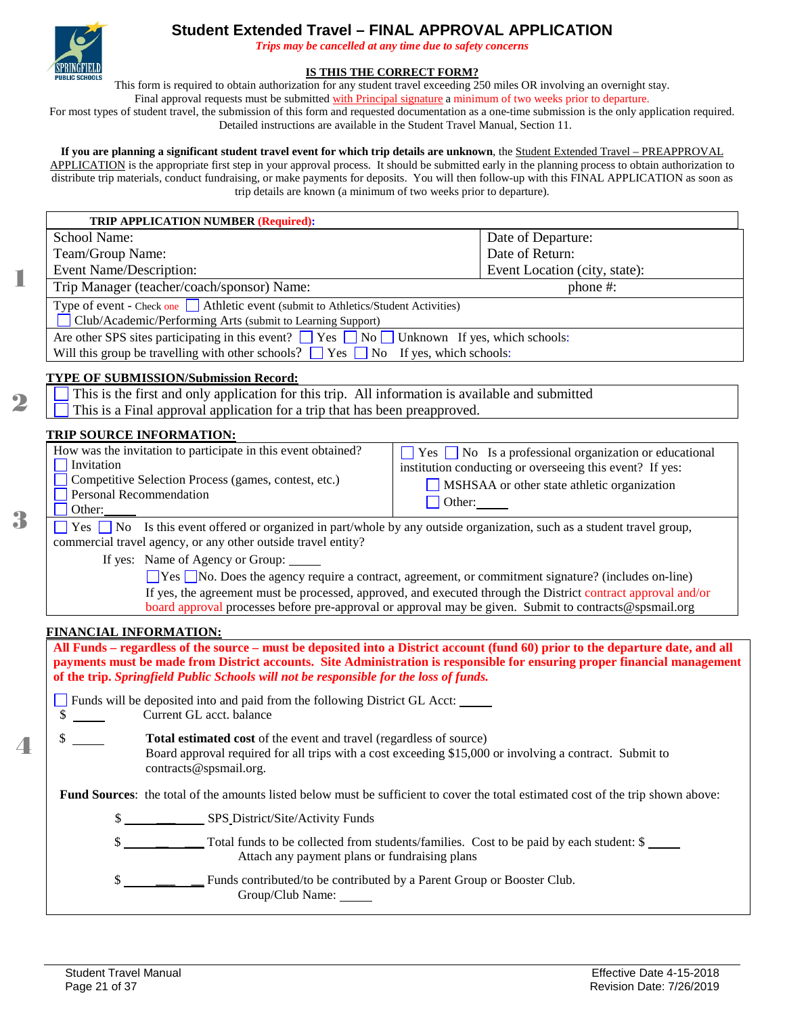<span id="page-20-0"></span>

1

 $\bf 2$ 

3

 $\Delta$ 

# **Student Extended Travel – FINAL APPROVAL APPLICATION**

*Trips may be cancelled at any time due to safety concerns*

#### **IS THIS THE CORRECT FORM?**

This form is required to obtain authorization for any student travel exceeding 250 miles OR involving an overnight stay.

Final approval requests must be submitted with Principal signature a minimum of two weeks prior to departure.

For most types of student travel, the submission of this form and requested documentation as a one-time submission is the only application required. Detailed instructions are available in the Student Travel Manual, Section 11.

#### **If you are planning a significant student travel event for which trip details are unknown**, the Student Extended Travel – PREAPPROVAL

APPLICATION is the appropriate first step in your approval process. It should be submitted early in the planning process to obtain authorization to distribute trip materials, conduct fundraising, or make payments for deposits. You will then follow-up with this FINAL APPLICATION as soon as trip details are known (a minimum of two weeks prior to departure).

| <b>School Name:</b>                                                                                                                                                                                            |                                                                                                                                                                                                                                                              |  |  |  |  |
|----------------------------------------------------------------------------------------------------------------------------------------------------------------------------------------------------------------|--------------------------------------------------------------------------------------------------------------------------------------------------------------------------------------------------------------------------------------------------------------|--|--|--|--|
|                                                                                                                                                                                                                | Date of Departure:                                                                                                                                                                                                                                           |  |  |  |  |
| Team/Group Name:                                                                                                                                                                                               | Date of Return:                                                                                                                                                                                                                                              |  |  |  |  |
| Event Name/Description:                                                                                                                                                                                        | Event Location (city, state):                                                                                                                                                                                                                                |  |  |  |  |
| Trip Manager (teacher/coach/sponsor) Name:                                                                                                                                                                     | phone $#$ :                                                                                                                                                                                                                                                  |  |  |  |  |
| Type of event - Check one Athletic event (submit to Athletics/Student Activities)<br>Club/Academic/Performing Arts (submit to Learning Support)                                                                |                                                                                                                                                                                                                                                              |  |  |  |  |
| Are other SPS sites participating in this event? $\Box$ Yes $\Box$ No $\Box$ Unknown If yes, which schools:                                                                                                    |                                                                                                                                                                                                                                                              |  |  |  |  |
| Will this group be travelling with other schools? $\Box$ Yes $\Box$ No If yes, which schools:                                                                                                                  |                                                                                                                                                                                                                                                              |  |  |  |  |
| <b>TYPE OF SUBMISSION/Submission Record:</b>                                                                                                                                                                   |                                                                                                                                                                                                                                                              |  |  |  |  |
| This is the first and only application for this trip. All information is available and submitted                                                                                                               |                                                                                                                                                                                                                                                              |  |  |  |  |
| This is a Final approval application for a trip that has been preapproved.                                                                                                                                     |                                                                                                                                                                                                                                                              |  |  |  |  |
| <u>TRIP SOURCE INFORMATION:</u>                                                                                                                                                                                |                                                                                                                                                                                                                                                              |  |  |  |  |
| How was the invitation to participate in this event obtained?<br>Invitation<br>Competitive Selection Process (games, contest, etc.)<br>Personal Recommendation                                                 | $\blacksquare$ Yes $\blacksquare$ No Is a professional organization or educational<br>institution conducting or overseeing this event? If yes:<br>MSHSAA or other state athletic organization                                                                |  |  |  |  |
| Other:                                                                                                                                                                                                         | Other:                                                                                                                                                                                                                                                       |  |  |  |  |
| Yes $\Box$ No Is this event offered or organized in part/whole by any outside organization, such as a student travel group,<br>commercial travel agency, or any other outside travel entity?                   |                                                                                                                                                                                                                                                              |  |  |  |  |
| If yes: Name of Agency or Group: _____                                                                                                                                                                         |                                                                                                                                                                                                                                                              |  |  |  |  |
|                                                                                                                                                                                                                | □ Yes □ No. Does the agency require a contract, agreement, or commitment signature? (includes on-line)                                                                                                                                                       |  |  |  |  |
|                                                                                                                                                                                                                | If yes, the agreement must be processed, approved, and executed through the District contract approval and/or<br>board approval processes before pre-approval or approval may be given. Submit to contracts@spsmail.org                                      |  |  |  |  |
|                                                                                                                                                                                                                |                                                                                                                                                                                                                                                              |  |  |  |  |
| <b>FINANCIAL INFORMATION:</b>                                                                                                                                                                                  |                                                                                                                                                                                                                                                              |  |  |  |  |
| of the trip. Springfield Public Schools will not be responsible for the loss of funds.                                                                                                                         | All Funds – regardless of the source – must be deposited into a District account (fund 60) prior to the departure date, and all<br>payments must be made from District accounts. Site Administration is responsible for ensuring proper financial management |  |  |  |  |
|                                                                                                                                                                                                                |                                                                                                                                                                                                                                                              |  |  |  |  |
| \$<br>Current GL acct. balance                                                                                                                                                                                 | Funds will be deposited into and paid from the following District GL Acct:                                                                                                                                                                                   |  |  |  |  |
| \$<br>Total estimated cost of the event and travel (regardless of source)<br>Board approval required for all trips with a cost exceeding \$15,000 or involving a contract. Submit to<br>contracts@spsmail.org. |                                                                                                                                                                                                                                                              |  |  |  |  |
| Fund Sources: the total of the amounts listed below must be sufficient to cover the total estimated cost of the trip shown above:                                                                              |                                                                                                                                                                                                                                                              |  |  |  |  |
| \$<br>SPS District/Site/Activity Funds                                                                                                                                                                         |                                                                                                                                                                                                                                                              |  |  |  |  |
| \$<br>Total funds to be collected from students/families. Cost to be paid by each student: \$<br>Attach any payment plans or fundraising plans                                                                 |                                                                                                                                                                                                                                                              |  |  |  |  |
| \$<br>Group/Club Name:                                                                                                                                                                                         | Funds contributed/to be contributed by a Parent Group or Booster Club.                                                                                                                                                                                       |  |  |  |  |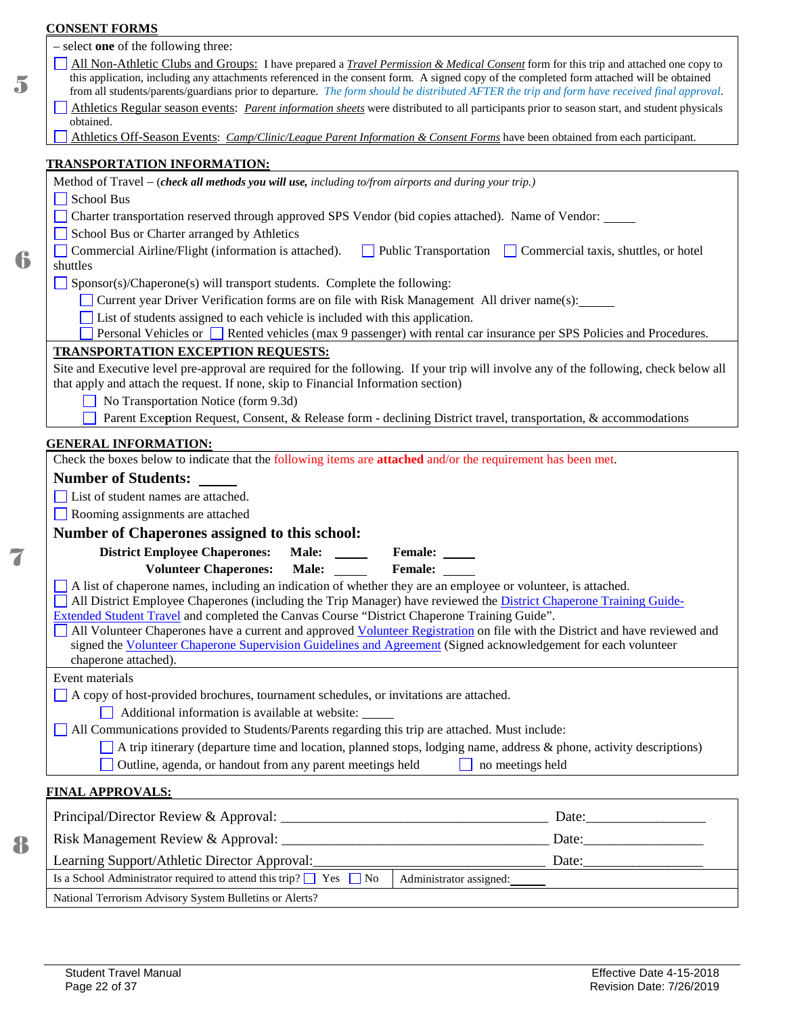|                                                                                                                                                                                  | <b>CONSENT FORMS</b>                                                                                                                                                                                                                                                                                                                                                                                                                         |  |  |  |  |                                                                         |                                                      |  |  |  |
|----------------------------------------------------------------------------------------------------------------------------------------------------------------------------------|----------------------------------------------------------------------------------------------------------------------------------------------------------------------------------------------------------------------------------------------------------------------------------------------------------------------------------------------------------------------------------------------------------------------------------------------|--|--|--|--|-------------------------------------------------------------------------|------------------------------------------------------|--|--|--|
|                                                                                                                                                                                  | - select one of the following three:                                                                                                                                                                                                                                                                                                                                                                                                         |  |  |  |  |                                                                         |                                                      |  |  |  |
|                                                                                                                                                                                  | All Non-Athletic Clubs and Groups: I have prepared a <i>Travel Permission &amp; Medical Consent</i> form for this trip and attached one copy to<br>this application, including any attachments referenced in the consent form. A signed copy of the completed form attached will be obtained<br>from all students/parents/guardians prior to departure. The form should be distributed AFTER the trip and form have received final approval. |  |  |  |  |                                                                         |                                                      |  |  |  |
|                                                                                                                                                                                  | Athletics Regular season events: <i>Parent information sheets</i> were distributed to all participants prior to season start, and student physicals                                                                                                                                                                                                                                                                                          |  |  |  |  |                                                                         |                                                      |  |  |  |
|                                                                                                                                                                                  | obtained.                                                                                                                                                                                                                                                                                                                                                                                                                                    |  |  |  |  |                                                                         |                                                      |  |  |  |
|                                                                                                                                                                                  | Athletics Off-Season Events: Camp/Clinic/League Parent Information & Consent Forms have been obtained from each participant.                                                                                                                                                                                                                                                                                                                 |  |  |  |  |                                                                         |                                                      |  |  |  |
|                                                                                                                                                                                  | <b>TRANSPORTATION INFORMATION:</b>                                                                                                                                                                                                                                                                                                                                                                                                           |  |  |  |  |                                                                         |                                                      |  |  |  |
|                                                                                                                                                                                  | Method of Travel – (check all methods you will use, including to/from airports and during your trip.)                                                                                                                                                                                                                                                                                                                                        |  |  |  |  |                                                                         |                                                      |  |  |  |
| School Bus                                                                                                                                                                       |                                                                                                                                                                                                                                                                                                                                                                                                                                              |  |  |  |  |                                                                         |                                                      |  |  |  |
|                                                                                                                                                                                  | Charter transportation reserved through approved SPS Vendor (bid copies attached). Name of Vendor:                                                                                                                                                                                                                                                                                                                                           |  |  |  |  |                                                                         |                                                      |  |  |  |
|                                                                                                                                                                                  | School Bus or Charter arranged by Athletics                                                                                                                                                                                                                                                                                                                                                                                                  |  |  |  |  |                                                                         |                                                      |  |  |  |
|                                                                                                                                                                                  | Commercial Airline/Flight (information is attached).<br>Public Transportation Commercial taxis, shuttles, or hotel<br>shuttles                                                                                                                                                                                                                                                                                                               |  |  |  |  |                                                                         |                                                      |  |  |  |
|                                                                                                                                                                                  | $\Box$ Sponsor(s)/Chaperone(s) will transport students. Complete the following:                                                                                                                                                                                                                                                                                                                                                              |  |  |  |  |                                                                         |                                                      |  |  |  |
|                                                                                                                                                                                  | Current year Driver Verification forms are on file with Risk Management All driver name(s):                                                                                                                                                                                                                                                                                                                                                  |  |  |  |  |                                                                         |                                                      |  |  |  |
|                                                                                                                                                                                  | List of students assigned to each vehicle is included with this application.                                                                                                                                                                                                                                                                                                                                                                 |  |  |  |  |                                                                         |                                                      |  |  |  |
|                                                                                                                                                                                  | Personal Vehicles or Rented vehicles (max 9 passenger) with rental car insurance per SPS Policies and Procedures.                                                                                                                                                                                                                                                                                                                            |  |  |  |  |                                                                         |                                                      |  |  |  |
|                                                                                                                                                                                  | TRANSPORTATION EXCEPTION REQUESTS:                                                                                                                                                                                                                                                                                                                                                                                                           |  |  |  |  |                                                                         |                                                      |  |  |  |
|                                                                                                                                                                                  | Site and Executive level pre-approval are required for the following. If your trip will involve any of the following, check below all<br>that apply and attach the request. If none, skip to Financial Information section)                                                                                                                                                                                                                  |  |  |  |  |                                                                         |                                                      |  |  |  |
|                                                                                                                                                                                  | No Transportation Notice (form 9.3d)                                                                                                                                                                                                                                                                                                                                                                                                         |  |  |  |  |                                                                         |                                                      |  |  |  |
|                                                                                                                                                                                  | Parent Exception Request, Consent, & Release form - declining District travel, transportation, & accommodations                                                                                                                                                                                                                                                                                                                              |  |  |  |  |                                                                         |                                                      |  |  |  |
|                                                                                                                                                                                  |                                                                                                                                                                                                                                                                                                                                                                                                                                              |  |  |  |  |                                                                         |                                                      |  |  |  |
| <b>GENERAL INFORMATION:</b><br>Check the boxes below to indicate that the following items are <b>attached</b> and/or the requirement has been met.<br><b>Number of Students:</b> |                                                                                                                                                                                                                                                                                                                                                                                                                                              |  |  |  |  |                                                                         |                                                      |  |  |  |
|                                                                                                                                                                                  |                                                                                                                                                                                                                                                                                                                                                                                                                                              |  |  |  |  | List of student names are attached.<br>Rooming assignments are attached |                                                      |  |  |  |
|                                                                                                                                                                                  |                                                                                                                                                                                                                                                                                                                                                                                                                                              |  |  |  |  |                                                                         | <b>Number of Chaperones assigned to this school:</b> |  |  |  |
|                                                                                                                                                                                  | <b>District Employee Chaperones:</b><br>Male:<br><b>Female:</b>                                                                                                                                                                                                                                                                                                                                                                              |  |  |  |  |                                                                         |                                                      |  |  |  |
|                                                                                                                                                                                  | Male:<br><b>Volunteer Chaperones:</b><br><b>Female:</b>                                                                                                                                                                                                                                                                                                                                                                                      |  |  |  |  |                                                                         |                                                      |  |  |  |
|                                                                                                                                                                                  | A list of chaperone names, including an indication of whether they are an employee or volunteer, is attached.                                                                                                                                                                                                                                                                                                                                |  |  |  |  |                                                                         |                                                      |  |  |  |
|                                                                                                                                                                                  | All District Employee Chaperones (including the Trip Manager) have reviewed the <i>District Chaperone Training Guide-</i>                                                                                                                                                                                                                                                                                                                    |  |  |  |  |                                                                         |                                                      |  |  |  |
|                                                                                                                                                                                  | Extended Student Travel and completed the Canvas Course "District Chaperone Training Guide".                                                                                                                                                                                                                                                                                                                                                 |  |  |  |  |                                                                         |                                                      |  |  |  |
|                                                                                                                                                                                  | All Volunteer Chaperones have a current and approved Volunteer Registration on file with the District and have reviewed and                                                                                                                                                                                                                                                                                                                  |  |  |  |  |                                                                         |                                                      |  |  |  |
|                                                                                                                                                                                  | signed the Volunteer Chaperone Supervision Guidelines and Agreement (Signed acknowledgement for each volunteer<br>chaperone attached).                                                                                                                                                                                                                                                                                                       |  |  |  |  |                                                                         |                                                      |  |  |  |
|                                                                                                                                                                                  | Event materials                                                                                                                                                                                                                                                                                                                                                                                                                              |  |  |  |  |                                                                         |                                                      |  |  |  |
|                                                                                                                                                                                  | A copy of host-provided brochures, tournament schedules, or invitations are attached.                                                                                                                                                                                                                                                                                                                                                        |  |  |  |  |                                                                         |                                                      |  |  |  |
|                                                                                                                                                                                  | Additional information is available at website:                                                                                                                                                                                                                                                                                                                                                                                              |  |  |  |  |                                                                         |                                                      |  |  |  |
| All Communications provided to Students/Parents regarding this trip are attached. Must include:                                                                                  |                                                                                                                                                                                                                                                                                                                                                                                                                                              |  |  |  |  |                                                                         |                                                      |  |  |  |
|                                                                                                                                                                                  | A trip itinerary (departure time and location, planned stops, lodging name, address & phone, activity descriptions)                                                                                                                                                                                                                                                                                                                          |  |  |  |  |                                                                         |                                                      |  |  |  |
|                                                                                                                                                                                  | Outline, agenda, or handout from any parent meetings held<br>$\Box$ no meetings held                                                                                                                                                                                                                                                                                                                                                         |  |  |  |  |                                                                         |                                                      |  |  |  |
|                                                                                                                                                                                  | <b>FINAL APPROVALS:</b><br><u> 1980 - Johann Barn, mars ann an t-Amhain Aonaich an t-Aonaich an t-Aonaich ann an t-Aonaich ann an t-Aonaich</u>                                                                                                                                                                                                                                                                                              |  |  |  |  |                                                                         |                                                      |  |  |  |
|                                                                                                                                                                                  | Date: $\qquad \qquad$                                                                                                                                                                                                                                                                                                                                                                                                                        |  |  |  |  |                                                                         |                                                      |  |  |  |
|                                                                                                                                                                                  |                                                                                                                                                                                                                                                                                                                                                                                                                                              |  |  |  |  |                                                                         |                                                      |  |  |  |
|                                                                                                                                                                                  | Learning Support/Athletic Director Approval:<br>Date: $\frac{1}{2}$ Date:                                                                                                                                                                                                                                                                                                                                                                    |  |  |  |  |                                                                         |                                                      |  |  |  |
|                                                                                                                                                                                  |                                                                                                                                                                                                                                                                                                                                                                                                                                              |  |  |  |  |                                                                         |                                                      |  |  |  |

National Terrorism Advisory System Bulletins or Alerts?

7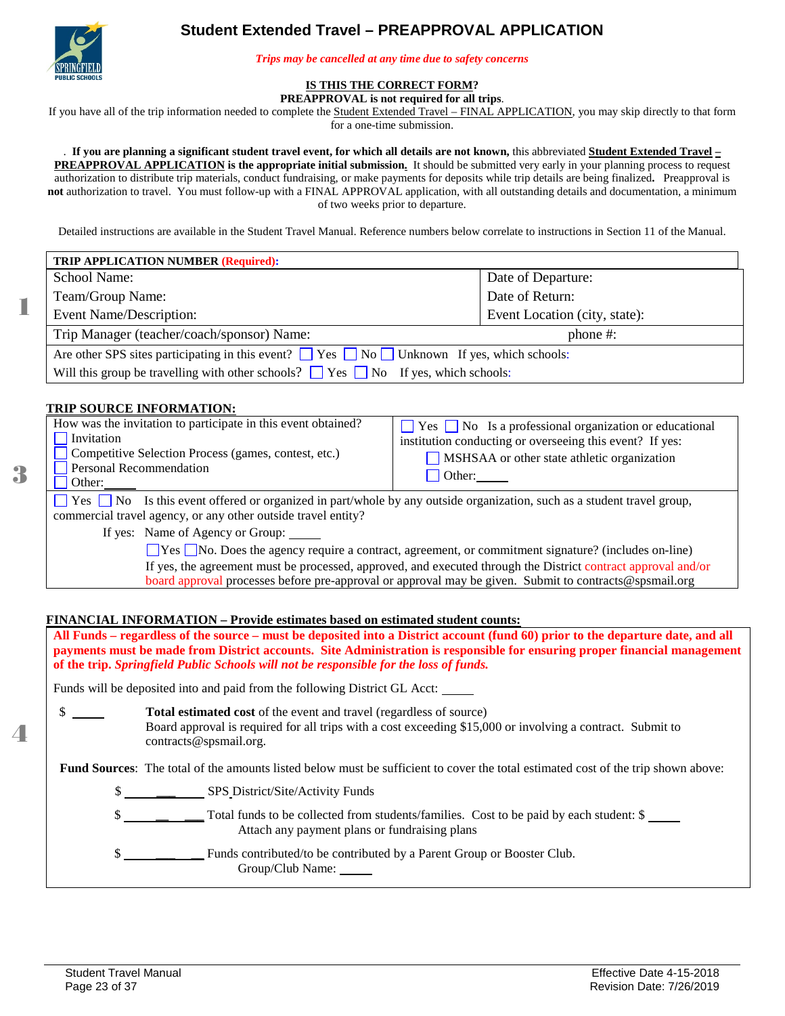# **Student Extended Travel – PREAPPROVAL APPLICATION**

<span id="page-22-0"></span>

1

3

4

*Trips may be cancelled at any time due to safety concerns*

# **IS THIS THE CORRECT FORM?**

**PREAPPROVAL is not required for all trips**.

If you have all of the trip information needed to complete the Student Extended Travel – FINAL APPLICATION, you may skip directly to that form

for a one-time submission.

#### . **If you are planning a significant student travel event, for which all details are not known,** this abbreviated **Student Extended Travel –**

**PREAPPROVAL APPLICATION is the appropriate initial submission.** It should be submitted very early in your planning process to request authorization to distribute trip materials, conduct fundraising, or make payments for deposits while trip details are being finalized**.** Preapproval is **not** authorization to travel. You must follow-up with a FINAL APPROVAL application, with all outstanding details and documentation, a minimum of two weeks prior to departure.

Detailed instructions are available in the Student Travel Manual. Reference numbers below correlate to instructions in Section 11 of the Manual.

| <b>TRIP APPLICATION NUMBER (Required):</b>                                                                  |                               |  |  |  |
|-------------------------------------------------------------------------------------------------------------|-------------------------------|--|--|--|
| School Name:                                                                                                | Date of Departure:            |  |  |  |
| Team/Group Name:                                                                                            | Date of Return:               |  |  |  |
| Event Name/Description:                                                                                     | Event Location (city, state): |  |  |  |
| Trip Manager (teacher/coach/sponsor) Name:<br>phone #:                                                      |                               |  |  |  |
| Are other SPS sites participating in this event? $\Box$ Yes $\Box$ No $\Box$ Unknown If yes, which schools: |                               |  |  |  |
| Will this group be travelling with other schools? $\Box$ Yes $\Box$ No If yes, which schools:               |                               |  |  |  |

#### **TRIP SOURCE INFORMATION:**

| How was the invitation to participate in this event obtained?<br>Invitation<br>Competitive Selection Process (games, contest, etc.)<br>Personal Recommendation<br>$\blacksquare$ Other:             | $\Box$ Yes $\Box$ No Is a professional organization or educational<br>institution conducting or overseeing this event? If yes:<br>MSHSAA or other state athletic organization<br>$\Box$ Other: $\Box$ |  |  |
|-----------------------------------------------------------------------------------------------------------------------------------------------------------------------------------------------------|-------------------------------------------------------------------------------------------------------------------------------------------------------------------------------------------------------|--|--|
| $\Box$ Yes $\Box$ No Is this event offered or organized in part/whole by any outside organization, such as a student travel group,<br>commercial travel agency, or any other outside travel entity? |                                                                                                                                                                                                       |  |  |

If yes: Name of Agency or Group:

Yes No. Does the agency require a contract, agreement, or commitment signature? (includes on-line) If yes, the agreement must be processed, approved, and executed through the District contract approval and/or board approval processes before pre-approval or approval may be given. Submit to contracts@spsmail.org

#### **FINANCIAL INFORMATION – Provide estimates based on estimated student counts:**

**All Funds – regardless of the source – must be deposited into a District account (fund 60) prior to the departure date, and all payments must be made from District accounts. Site Administration is responsible for ensuring proper financial management of the trip.** *Springfield Public Schools will not be responsible for the loss of funds.*

Funds will be deposited into and paid from the following District GL Acct:

 \$ **Total estimated cost** of the event and travel (regardless of source) Board approval is required for all trips with a cost exceeding \$15,000 or involving a contract. Submit to contracts@spsmail.org.

Fund Sources: The total of the amounts listed below must be sufficient to cover the total estimated cost of the trip shown above:

- \$ **\_\_\_** SPS District/Site/Activity Funds
- $\frac{1}{2}$  **Total funds to be collected from students/families.** Cost to be paid by each student: \$ Attach any payment plans or fundraising plans

 \$ **\_\_\_ \_\_** Funds contributed/to be contributed by a Parent Group or Booster Club. Group/Club Name: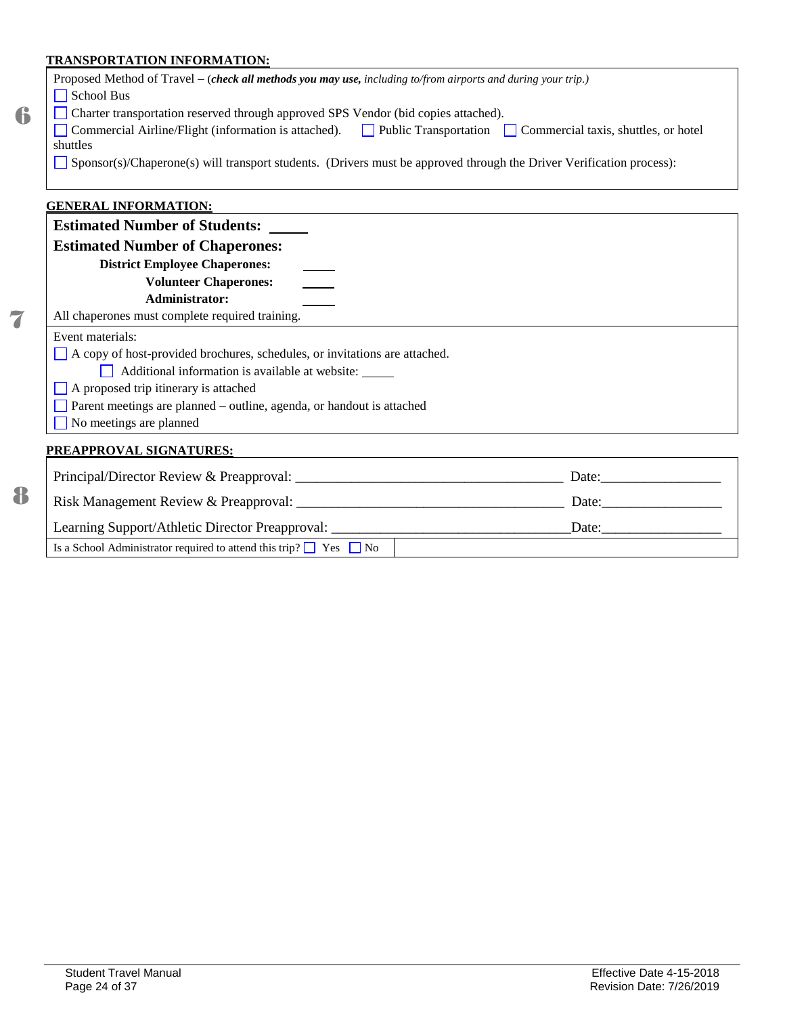# **TRANSPORTATION INFORMATION:**

7

8

|   | I KANSPOK I A LION INFORMA LION:                                                                                     |
|---|----------------------------------------------------------------------------------------------------------------------|
|   | Proposed Method of Travel – (check all methods you may use, including to/from airports and during your trip.)        |
|   | School Bus                                                                                                           |
| 6 | Charter transportation reserved through approved SPS Vendor (bid copies attached).                                   |
|   | Commercial Airline/Flight (information is attached). Public Transportation Commercial taxis, shuttles, or hotel      |
|   | shuttles                                                                                                             |
|   | Sponsor(s)/Chaperone(s) will transport students. (Drivers must be approved through the Driver Verification process): |
|   | <b>GENERAL INFORMATION:</b>                                                                                          |
|   | <b>Estimated Number of Students:</b>                                                                                 |
|   | <b>Estimated Number of Chaperones:</b>                                                                               |
|   | <b>District Employee Chaperones:</b>                                                                                 |
|   | <b>Volunteer Chaperones:</b>                                                                                         |
|   | <b>Administrator:</b>                                                                                                |
| 7 | All chaperones must complete required training.                                                                      |
|   | Event materials:                                                                                                     |
|   | A copy of host-provided brochures, schedules, or invitations are attached.                                           |
|   | Additional information is available at website:<br>$\mathbf{L}$                                                      |
|   | A proposed trip itinerary is attached                                                                                |
|   | Parent meetings are planned - outline, agenda, or handout is attached                                                |
|   | No meetings are planned                                                                                              |
|   | <b>PREAPPROVAL SIGNATURES:</b>                                                                                       |
|   |                                                                                                                      |
| 8 | Risk Management Review & Preapproval:<br>Date:                                                                       |

| Risk Management Review & Preapproval:                                        | Date: |
|------------------------------------------------------------------------------|-------|
| Learning Support/Athletic Director Preapproval:                              | Date: |
| Is a School Administrator required to attend this trip? $\Box$ Yes $\Box$ No |       |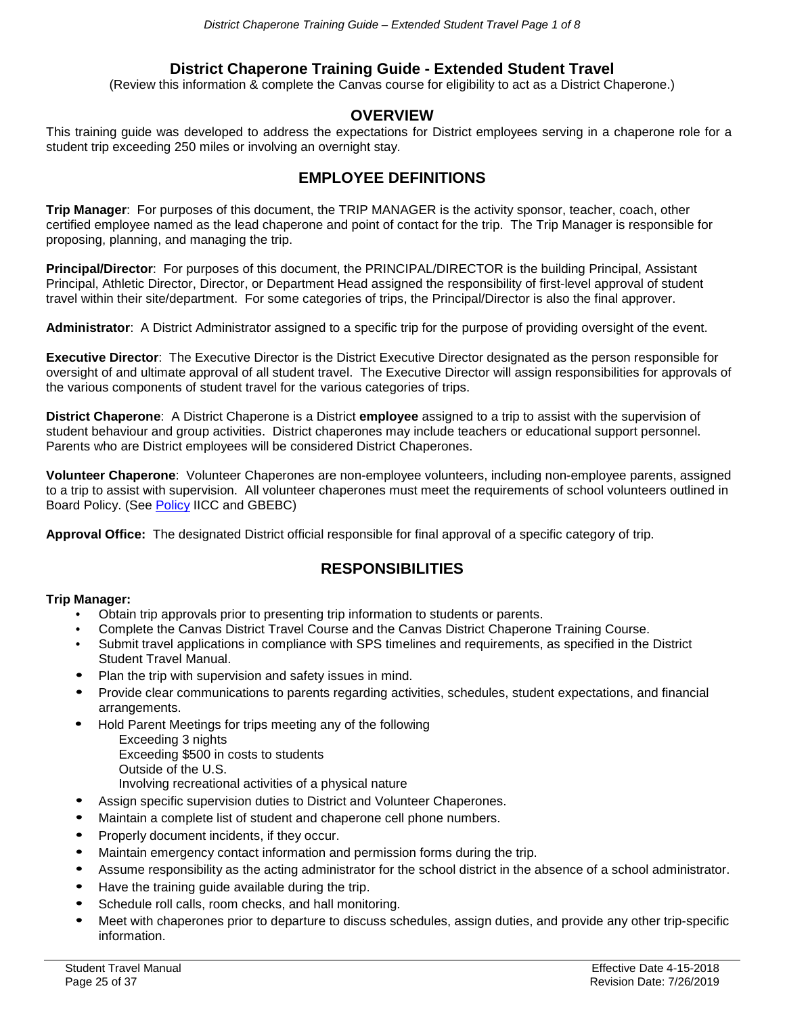# **District Chaperone Training Guide - Extended Student Travel**

(Review this information & complete the Canvas course for eligibility to act as a District Chaperone.)

# **OVERVIEW**

<span id="page-24-0"></span>This training guide was developed to address the expectations for District employees serving in a chaperone role for a student trip exceeding 250 miles or involving an overnight stay.

# **EMPLOYEE DEFINITIONS**

**Trip Manager**: For purposes of this document, the TRIP MANAGER is the activity sponsor, teacher, coach, other certified employee named as the lead chaperone and point of contact for the trip. The Trip Manager is responsible for proposing, planning, and managing the trip.

**Principal/Director**: For purposes of this document, the PRINCIPAL/DIRECTOR is the building Principal, Assistant Principal, Athletic Director, Director, or Department Head assigned the responsibility of first-level approval of student travel within their site/department. For some categories of trips, the Principal/Director is also the final approver.

**Administrator**: A District Administrator assigned to a specific trip for the purpose of providing oversight of the event.

**Executive Director**: The Executive Director is the District Executive Director designated as the person responsible for oversight of and ultimate approval of all student travel. The Executive Director will assign responsibilities for approvals of the various components of student travel for the various categories of trips.

**District Chaperone**: A District Chaperone is a District **employee** assigned to a trip to assist with the supervision of student behaviour and group activities. District chaperones may include teachers or educational support personnel. Parents who are District employees will be considered District Chaperones.

**Volunteer Chaperone**: Volunteer Chaperones are non-employee volunteers, including non-employee parents, assigned to a trip to assist with supervision. All volunteer chaperones must meet the requirements of school volunteers outlined in Board Policy. (See [Policy](https://simbli.eboardsolutions.com/SB_ePolicy/SB_PolicyOverview.aspx?S=177&Sch=177) IICC and GBEBC)

**Approval Office:** The designated District official responsible for final approval of a specific category of trip.

# **RESPONSIBILITIES**

### **Trip Manager:**

- Obtain trip approvals prior to presenting trip information to students or parents.
- Complete the Canvas District Travel Course and the Canvas District Chaperone Training Course.
- Submit travel applications in compliance with SPS timelines and requirements, as specified in the District Student Travel Manual.
- Plan the trip with supervision and safety issues in mind.
- Provide clear communications to parents regarding activities, schedules, student expectations, and financial arrangements.
- Hold Parent Meetings for trips meeting any of the following Exceeding 3 nights Exceeding \$500 in costs to students Outside of the U.S.
	- Involving recreational activities of a physical nature
- Assign specific supervision duties to District and Volunteer Chaperones.
- Maintain a complete list of student and chaperone cell phone numbers.
- Properly document incidents, if they occur.
- Maintain emergency contact information and permission forms during the trip.
- Assume responsibility as the acting administrator for the school district in the absence of a school administrator.
- Have the training guide available during the trip.
- Schedule roll calls, room checks, and hall monitoring.
- Meet with chaperones prior to departure to discuss schedules, assign duties, and provide any other trip-specific information.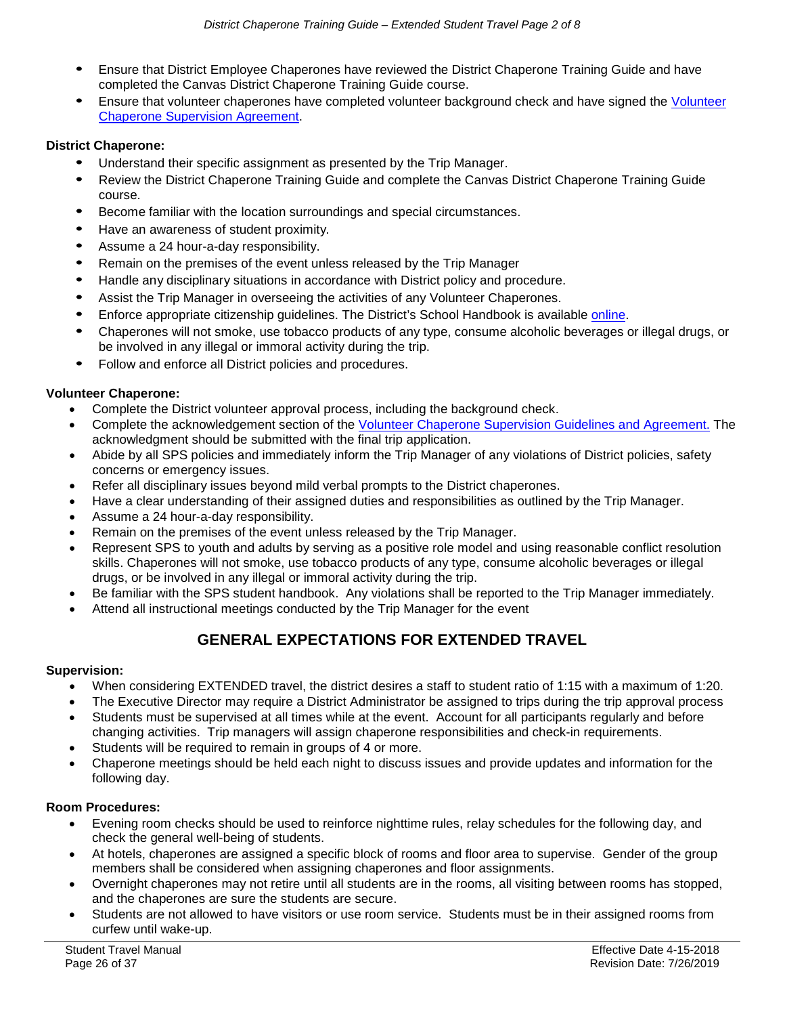- Ensure that District Employee Chaperones have reviewed the District Chaperone Training Guide and have completed the Canvas District Chaperone Training Guide course.
- Ensure that volunteer chaperones have completed volunteer background check and have signed the [Volunteer](#page-32-1)  [Chaperone Supervision Agreement.](#page-32-1)

### **District Chaperone:**

- Understand their specific assignment as presented by the Trip Manager.
- Review the District Chaperone Training Guide and complete the Canvas District Chaperone Training Guide course.
- Become familiar with the location surroundings and special circumstances.
- Have an awareness of student proximity.
- Assume a 24 hour-a-day responsibility.
- Remain on the premises of the event unless released by the Trip Manager
- Handle any disciplinary situations in accordance with District policy and procedure.
- Assist the Trip Manager in overseeing the activities of any Volunteer Chaperones.
- Enforce appropriate citizenship quidelines. The District's School Handbook is available [online.](http://www.springfieldpublicschoolsmo.org/pages/SPSMO/Families/Student_Handbook)
- Chaperones will not smoke, use tobacco products of any type, consume alcoholic beverages or illegal drugs, or be involved in any illegal or immoral activity during the trip.
- Follow and enforce all District policies and procedures.

### **Volunteer Chaperone:**

- Complete the District volunteer approval process, including the background check.
- Complete the acknowledgement section of the [Volunteer Chaperone Supervision Guidelines and Agreement.](#page-32-1) The acknowledgment should be submitted with the final trip application.
- Abide by all SPS policies and immediately inform the Trip Manager of any violations of District policies, safety concerns or emergency issues.
- Refer all disciplinary issues beyond mild verbal prompts to the District chaperones.
- Have a clear understanding of their assigned duties and responsibilities as outlined by the Trip Manager.
- Assume a 24 hour-a-day responsibility.
- Remain on the premises of the event unless released by the Trip Manager.
- Represent SPS to youth and adults by serving as a positive role model and using reasonable conflict resolution skills. Chaperones will not smoke, use tobacco products of any type, consume alcoholic beverages or illegal drugs, or be involved in any illegal or immoral activity during the trip.
- Be familiar with the SPS student handbook. Any violations shall be reported to the Trip Manager immediately.
- Attend all instructional meetings conducted by the Trip Manager for the event

# **GENERAL EXPECTATIONS FOR EXTENDED TRAVEL**

### **Supervision:**

- When considering EXTENDED travel, the district desires a staff to student ratio of 1:15 with a maximum of 1:20.
- The Executive Director may require a District Administrator be assigned to trips during the trip approval process
- Students must be supervised at all times while at the event. Account for all participants regularly and before changing activities. Trip managers will assign chaperone responsibilities and check-in requirements.
- Students will be required to remain in groups of 4 or more.
- Chaperone meetings should be held each night to discuss issues and provide updates and information for the following day.

### **Room Procedures:**

- Evening room checks should be used to reinforce nighttime rules, relay schedules for the following day, and check the general well-being of students.
- At hotels, chaperones are assigned a specific block of rooms and floor area to supervise. Gender of the group members shall be considered when assigning chaperones and floor assignments.
- Overnight chaperones may not retire until all students are in the rooms, all visiting between rooms has stopped, and the chaperones are sure the students are secure.
- Students are not allowed to have visitors or use room service. Students must be in their assigned rooms from curfew until wake-up.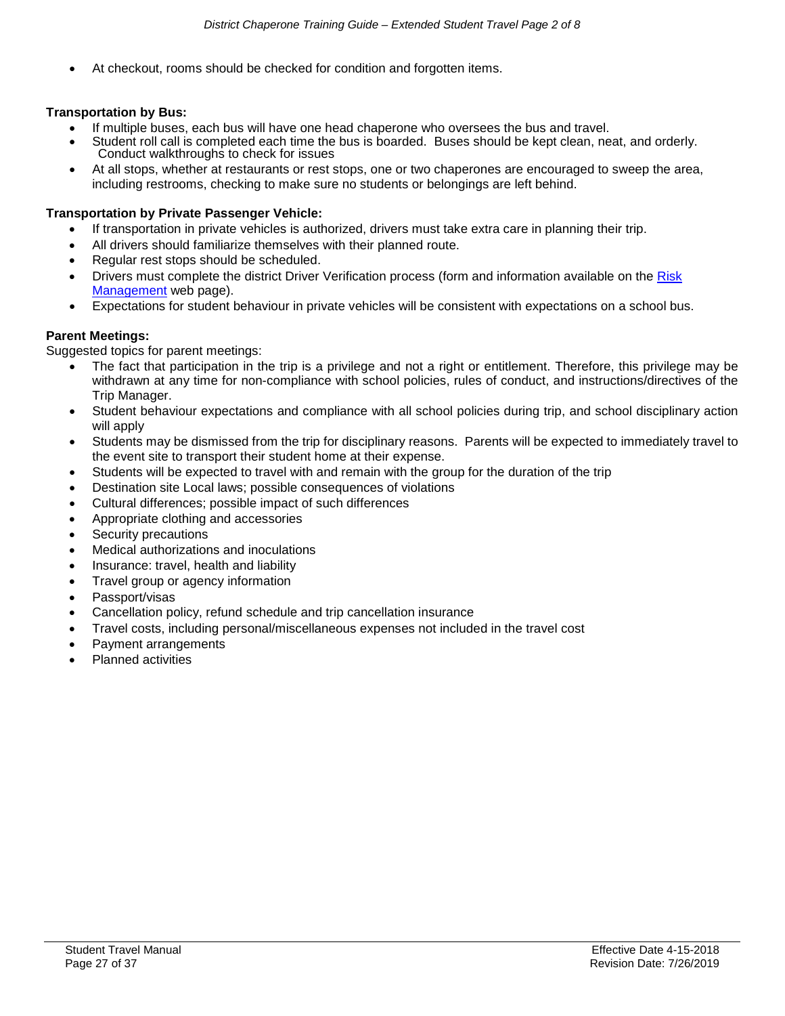• At checkout, rooms should be checked for condition and forgotten items.

### **Transportation by Bus:**

- If multiple buses, each bus will have one head chaperone who oversees the bus and travel.
- Student roll call is completed each time the bus is boarded. Buses should be kept clean, neat, and orderly. Conduct walkthroughs to check for issues
- At all stops, whether at restaurants or rest stops, one or two chaperones are encouraged to sweep the area, including restrooms, checking to make sure no students or belongings are left behind.

#### **Transportation by Private Passenger Vehicle:**

- If transportation in private vehicles is authorized, drivers must take extra care in planning their trip.
- All drivers should familiarize themselves with their planned route.
- Regular rest stops should be scheduled.
- Drivers must complete the district Driver Verification process (form and information available on the [Risk](https://www.sps.org/domain/144)  [Management](https://www.sps.org/domain/144) web page).
- Expectations for student behaviour in private vehicles will be consistent with expectations on a school bus.

### **Parent Meetings:**

Suggested topics for parent meetings:

- The fact that participation in the trip is a privilege and not a right or entitlement. Therefore, this privilege may be withdrawn at any time for non-compliance with school policies, rules of conduct, and instructions/directives of the Trip Manager.
- Student behaviour expectations and compliance with all school policies during trip, and school disciplinary action will apply
- Students may be dismissed from the trip for disciplinary reasons. Parents will be expected to immediately travel to the event site to transport their student home at their expense.
- Students will be expected to travel with and remain with the group for the duration of the trip
- Destination site Local laws; possible consequences of violations
- Cultural differences; possible impact of such differences
- Appropriate clothing and accessories
- Security precautions
- Medical authorizations and inoculations
- Insurance: travel, health and liability
- Travel group or agency information
- Passport/visas
- Cancellation policy, refund schedule and trip cancellation insurance
- Travel costs, including personal/miscellaneous expenses not included in the travel cost
- Payment arrangements
- Planned activities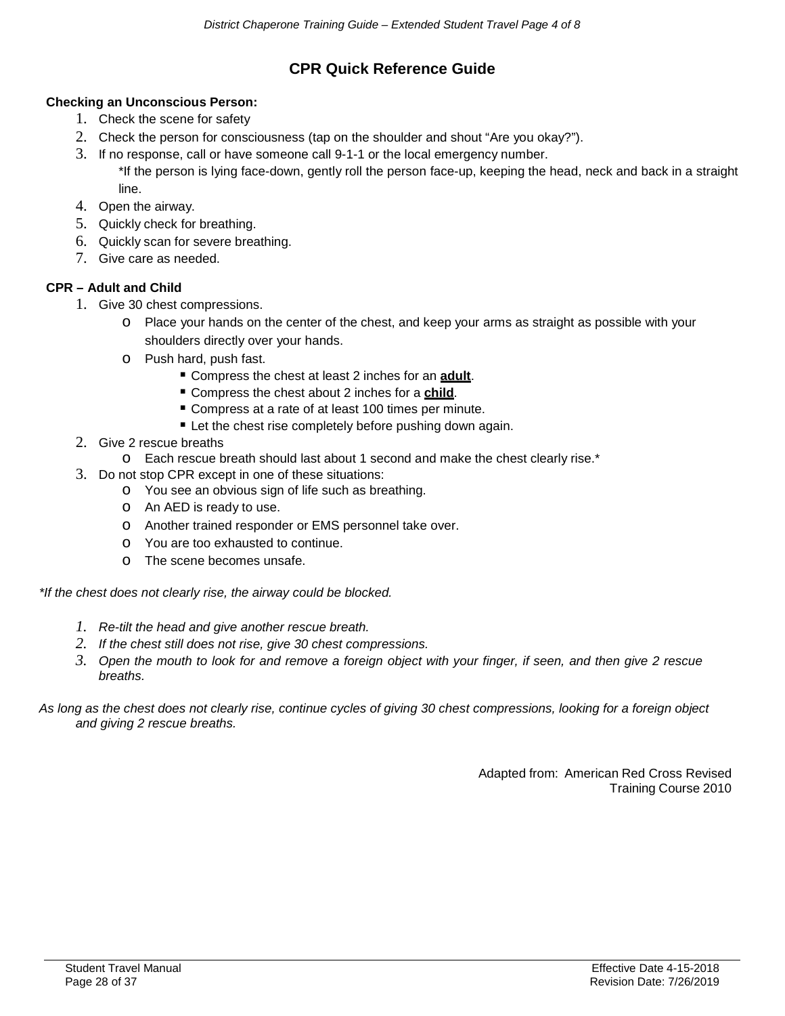# **CPR Quick Reference Guide**

### **Checking an Unconscious Person:**

- 1. Check the scene for safety
- 2. Check the person for consciousness (tap on the shoulder and shout "Are you okay?").
- 3. If no response, call or have someone call 9-1-1 or the local emergency number. \*If the person is lying face-down, gently roll the person face-up, keeping the head, neck and back in a straight line.
- 4. Open the airway.
- 5. Quickly check for breathing.
- 6. Quickly scan for severe breathing.
- 7. Give care as needed.

### **CPR – Adult and Child**

- 1. Give 30 chest compressions.
	- o Place your hands on the center of the chest, and keep your arms as straight as possible with your shoulders directly over your hands.
	- o Push hard, push fast.
		- Compress the chest at least 2 inches for an **adult**.
		- **Compress the chest about 2 inches for a child.**
		- Compress at a rate of at least 100 times per minute.
		- Let the chest rise completely before pushing down again.
- 2. Give 2 rescue breaths
	- o Each rescue breath should last about 1 second and make the chest clearly rise.\*
- 3. Do not stop CPR except in one of these situations:
	- o You see an obvious sign of life such as breathing.
	- o An AED is ready to use.
	- o Another trained responder or EMS personnel take over.
	- o You are too exhausted to continue.
	- o The scene becomes unsafe.

*\*If the chest does not clearly rise, the airway could be blocked.*

- *1. Re-tilt the head and give another rescue breath.*
- *2. If the chest still does not rise, give 30 chest compressions.*
- *3. Open the mouth to look for and remove a foreign object with your finger, if seen, and then give 2 rescue breaths.*

#### *As long as the chest does not clearly rise, continue cycles of giving 30 chest compressions, looking for a foreign object and giving 2 rescue breaths.*

Adapted from: American Red Cross Revised Training Course 2010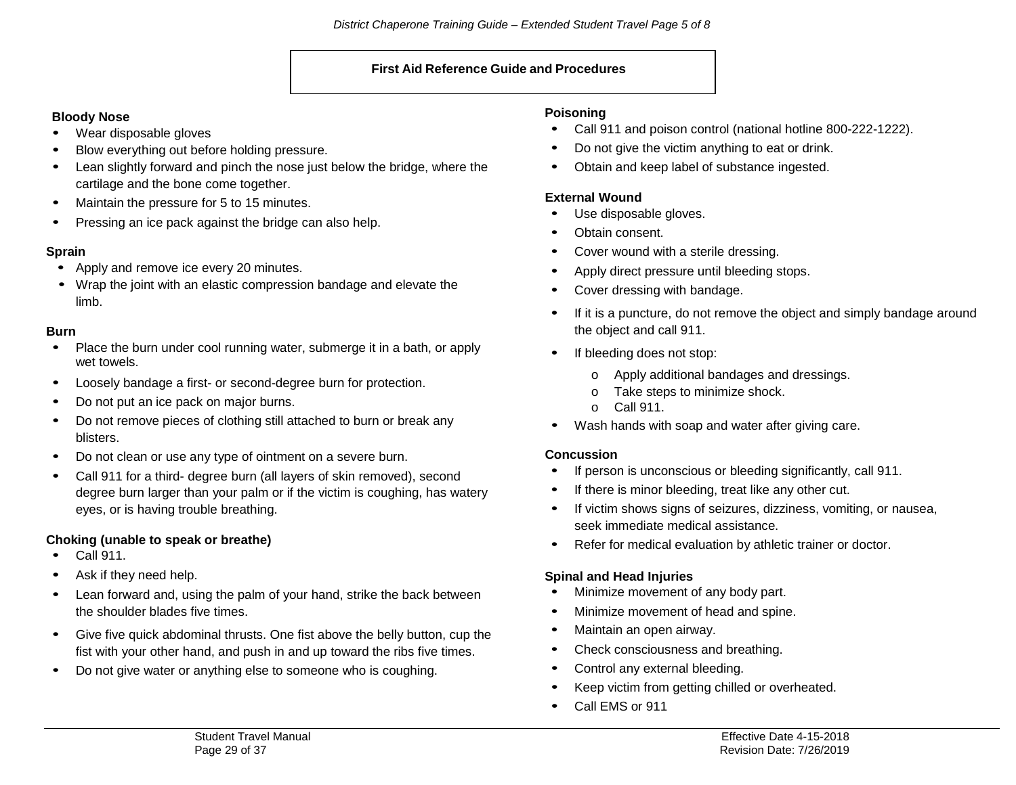#### **First Aid Reference Guide and Procedures**

### **Bloody Nose**

- Wear disposable gloves
- Blow everything out before holding pressure.
- Lean slightly forward and pinch the nose just below the bridge, where the cartilage and the bone come together.
- Maintain the pressure for 5 to 15 minutes.
- Pressing an ice pack against the bridge can also help.

# **Sprain**

- Apply and remove ice every 20 minutes.
- Wrap the joint with an elastic compression bandage and elevate the limb.

### **Burn**

- Place the burn under cool running water, submerge it in a bath, or apply wet towels.
- Loosely bandage a first- or second-degree burn for protection.
- Do not put an ice pack on major burns.
- Do not remove pieces of clothing still attached to burn or break any blisters.
- Do not clean or use any type of ointment on a severe burn.
- Call 911 for <sup>a</sup> third- degree burn (all layers of skin removed), second degree burn larger than your palm or if the victim is coughing, has watery eyes, or is having trouble breathing.

# **Choking (unable to speak or breathe)**

- Call 911.
- Ask if they need help.
- Lean forward and, using the palm of your hand, strike the back between the shoulder blades five times.
- Give five quick abdominal thrusts. One fist above the belly button, cup the fist with your other hand, and push in and up toward the ribs five times.
- Do not give water or anything else to someone who is coughing.

# **Poisoning**

- Call 911 and poison control (national hotline 800-222-1222).
- Do not give the victim anything to eat or drink.
- Obtain and keep label of substance ingested.

# **External Wound**

- Use disposable gloves.
- Obtain consent.
- Cover wound with a sterile dressing.
- Apply direct pressure until bleeding stops.
- Cover dressing with bandage.
- If it is a puncture, do not remove the object and simply bandage around the object and call 911.
- If bleeding does not stop:
	- o Apply additional bandages and dressings.
	- o Take steps to minimize shock.
	- o Call 911.
- Wash hands with soap and water after giving care.

### **Concussion**

- If person is unconscious or bleeding significantly, call 911.
- If there is minor bleeding, treat like any other cut.
- If victim shows signs of seizures, dizziness, vomiting, or nausea, seek immediate medical assistance.
- Refer for medical evaluation by athletic trainer or doctor.

# **Spinal and Head Injuries**

- Minimize movement of any body part.
- Minimize movement of head and spine.
- Maintain an open airway.
- Check consciousness and breathing.
- Control any external bleeding.
- Keep victim from getting chilled or overheated.
- Call EMS or <sup>911</sup>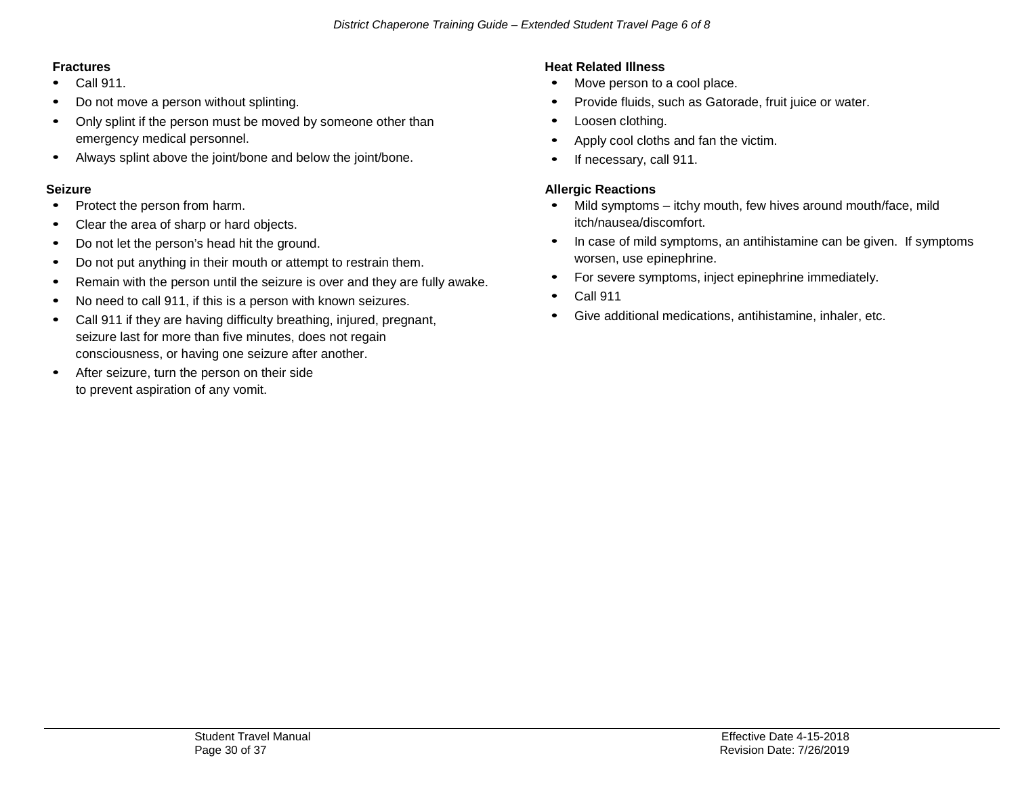# **Fractures**

- Call 911.
- Do not move a person without splinting.
- Only splint if the person must be moved by someone other than emergency medical personnel.
- Always splint above the joint/bone and below the joint/bone.

### **Seizure**

- Protect the person from harm.
- Clear the area of sharp or hard objects.
- Do not let the person's head hit the ground.
- Do not put anything in their mouth or attempt to restrain them.
- Remain with the person until the seizure is over and they are fully awake.
- No need to call 911, if this is a person with known seizures.
- Call 911 if they are having difficulty breathing, injured, pregnant, seizure last for more than five minutes, does not regain consciousness, or having one seizure after another.
- After seizure, turn the person on their side to prevent aspiration of any vomit.

# **Heat Related Illness**

- Move person to a cool place.
- Provide fluids, such as Gatorade, fruit juice or water.
- Loosen clothing.
- Apply cool cloths and fan the victim.
- If necessary, call 911.

# **Allergic Reactions**

- Mild symptoms itchy mouth, few hives around mouth/face, mild itch/nausea/discomfort.
- In case of mild symptoms, an antihistamine can be given. If symptoms worsen, use epinephrine.
- For severe symptoms, inject epinephrine immediately.
- Call <sup>911</sup>
- Give additional medications, antihistamine, inhaler, etc.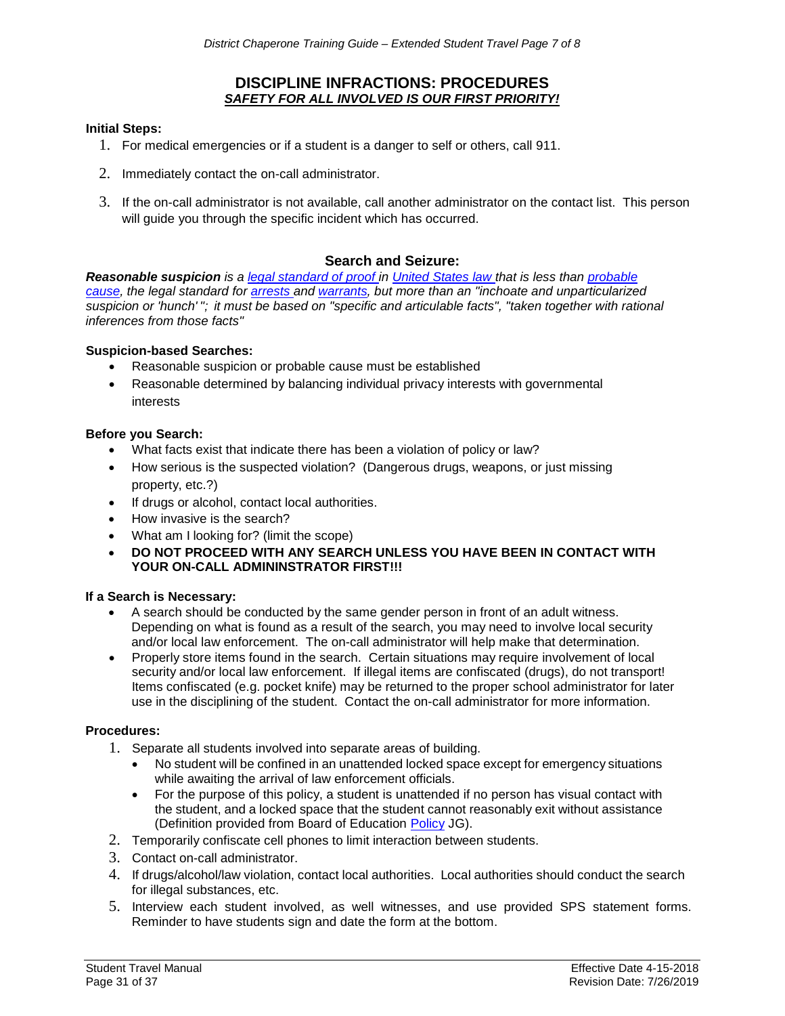### **DISCIPLINE INFRACTIONS: PROCEDURES** *SAFETY FOR ALL INVOLVED IS OUR FIRST PRIORITY!*

#### **Initial Steps:**

- 1. For medical emergencies or if a student is a danger to self or others, call 911.
- 2. Immediately contact the on-call administrator.
- 3. If the on-call administrator is not available, call another administrator on the contact list. This person will guide you through the specific incident which has occurred.

### **Search and Seizure:**

*Reasonable suspicion is a [legal standard of proof](http://encyclopedia.thefreedictionary.com/Burden%2Bof%2Bproof) in [United States law](http://encyclopedia.thefreedictionary.com/Law%2Bof%2Bthe%2BUnited%2BStates) that is less than [probable](http://encyclopedia.thefreedictionary.com/Probable%2Bcause) [cause, t](http://encyclopedia.thefreedictionary.com/Probable%2Bcause)he legal standard for [arrests a](http://encyclopedia.thefreedictionary.com/Arrest)nd [warrants, b](http://encyclopedia.thefreedictionary.com/Warrant%2B(law))ut more than an "inchoate and unparticularized suspicion or 'hunch' "; it must be based on "specific and articulable facts", "taken together with rational inferences from those facts"*

#### **Suspicion-based Searches:**

- Reasonable suspicion or probable cause must be established
- Reasonable determined by balancing individual privacy interests with governmental interests

#### **Before you Search:**

- What facts exist that indicate there has been a violation of policy or law?
- How serious is the suspected violation? (Dangerous drugs, weapons, or just missing property, etc.?)
- If drugs or alcohol, contact local authorities.
- How invasive is the search?
- What am I looking for? (limit the scope)
- **DO NOT PROCEED WITH ANY SEARCH UNLESS YOU HAVE BEEN IN CONTACT WITH YOUR ON-CALL ADMININSTRATOR FIRST!!!**

#### **If a Search is Necessary:**

- A search should be conducted by the same gender person in front of an adult witness. Depending on what is found as a result of the search, you may need to involve local security and/or local law enforcement. The on-call administrator will help make that determination.
- Properly store items found in the search. Certain situations may require involvement of local security and/or local law enforcement. If illegal items are confiscated (drugs), do not transport! Items confiscated (e.g. pocket knife) may be returned to the proper school administrator for later use in the disciplining of the student. Contact the on-call administrator for more information.

### **Procedures:**

- 1. Separate all students involved into separate areas of building.
	- No student will be confined in an unattended locked space except for emergency situations while awaiting the arrival of law enforcement officials.
	- For the purpose of this policy, a student is unattended if no person has visual contact with the student, and a locked space that the student cannot reasonably exit without assistance (Definition provided from Board of Education [Policy](https://simbli.eboardsolutions.com/SB_ePolicy/SB_PolicyOverview.aspx?S=177&Sch=177) JG).
- 2. Temporarily confiscate cell phones to limit interaction between students.
- 3. Contact on-call administrator.
- 4. If drugs/alcohol/law violation, contact local authorities. Local authorities should conduct the search for illegal substances, etc.
- 5. Interview each student involved, as well witnesses, and use provided SPS statement forms. Reminder to have students sign and date the form at the bottom.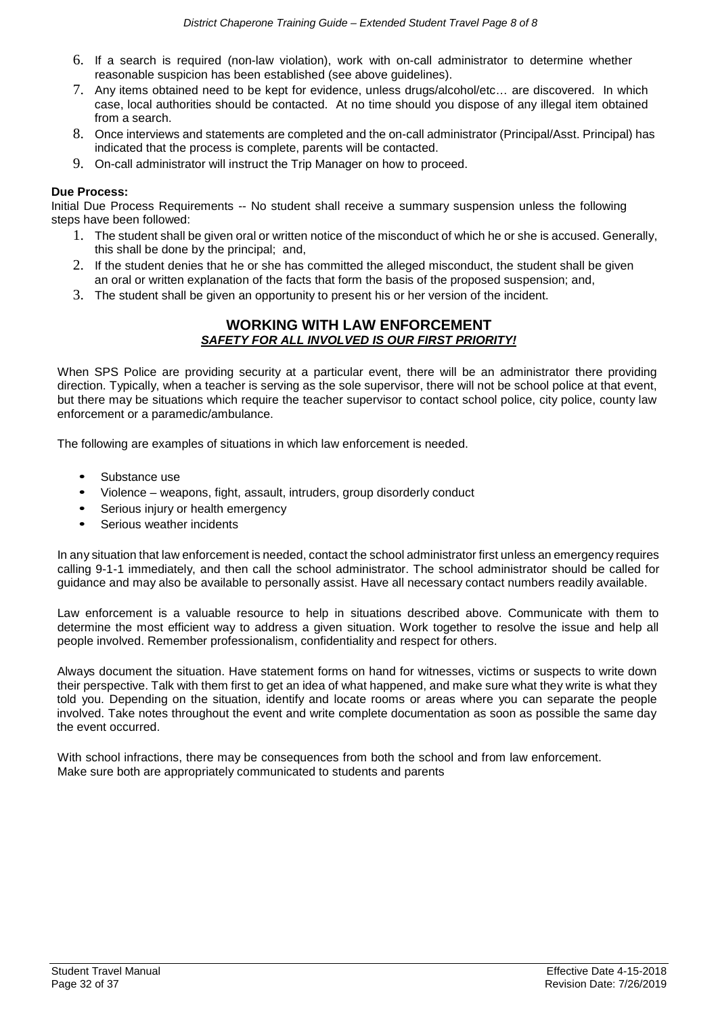- 6. If a search is required (non-law violation), work with on-call administrator to determine whether reasonable suspicion has been established (see above guidelines).
- 7. Any items obtained need to be kept for evidence, unless drugs/alcohol/etc… are discovered. In which case, local authorities should be contacted. At no time should you dispose of any illegal item obtained from a search.
- 8. Once interviews and statements are completed and the on-call administrator (Principal/Asst. Principal) has indicated that the process is complete, parents will be contacted.
- 9. On-call administrator will instruct the Trip Manager on how to proceed.

### **Due Process:**

Initial Due Process Requirements -- No student shall receive a summary suspension unless the following steps have been followed:

- 1. The student shall be given oral or written notice of the misconduct of which he or she is accused. Generally, this shall be done by the principal; and,
- 2. If the student denies that he or she has committed the alleged misconduct, the student shall be given an oral or written explanation of the facts that form the basis of the proposed suspension; and,
- 3. The student shall be given an opportunity to present his or her version of the incident.

### **WORKING WITH LAW ENFORCEMENT** *SAFETY FOR ALL INVOLVED IS OUR FIRST PRIORITY!*

When SPS Police are providing security at a particular event, there will be an administrator there providing direction. Typically, when a teacher is serving as the sole supervisor, there will not be school police at that event, but there may be situations which require the teacher supervisor to contact school police, city police, county law enforcement or a paramedic/ambulance.

The following are examples of situations in which law enforcement is needed.

- Substance use
- Violence weapons, fight, assault, intruders, group disorderly conduct
- Serious injury or health emergency
- Serious weather incidents

In any situation that law enforcement is needed, contact the school administrator first unless an emergency requires calling 9-1-1 immediately, and then call the school administrator. The school administrator should be called for guidance and may also be available to personally assist. Have all necessary contact numbers readily available.

Law enforcement is a valuable resource to help in situations described above. Communicate with them to determine the most efficient way to address a given situation. Work together to resolve the issue and help all people involved. Remember professionalism, confidentiality and respect for others.

Always document the situation. Have statement forms on hand for witnesses, victims or suspects to write down their perspective. Talk with them first to get an idea of what happened, and make sure what they write is what they told you. Depending on the situation, identify and locate rooms or areas where you can separate the people involved. Take notes throughout the event and write complete documentation as soon as possible the same day the event occurred.

With school infractions, there may be consequences from both the school and from law enforcement. Make sure both are appropriately communicated to students and parents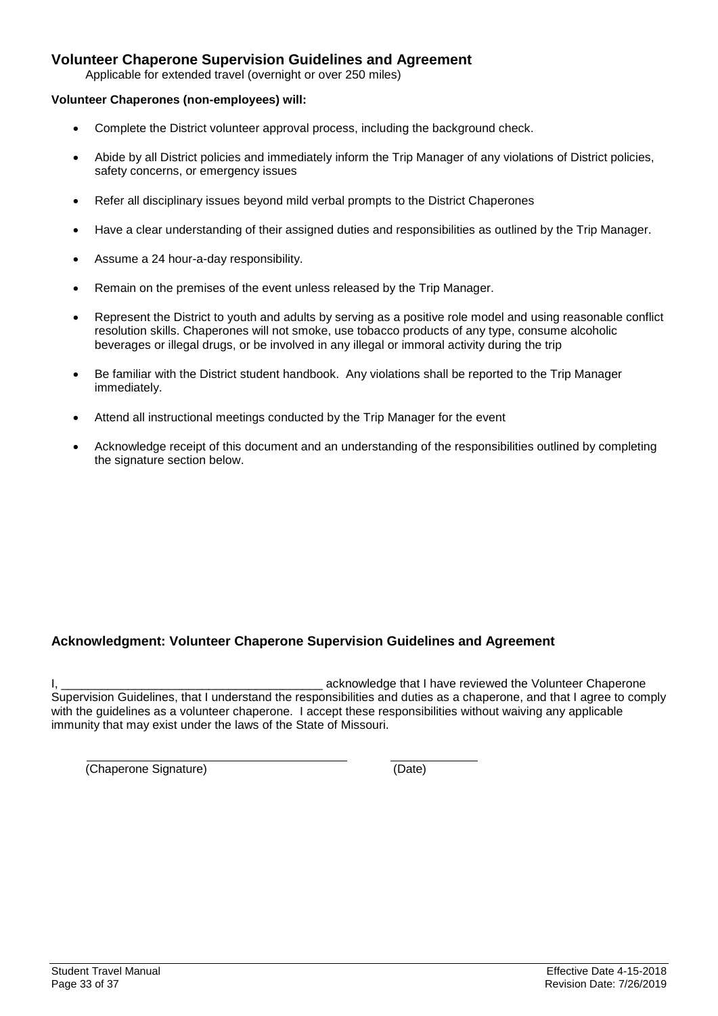# <span id="page-32-0"></span>**Volunteer Chaperone Supervision Guidelines and Agreement**

Applicable for extended travel (overnight or over 250 miles)

#### **Volunteer Chaperones (non-employees) will:**

- Complete the District volunteer approval process, including the background check.
- Abide by all District policies and immediately inform the Trip Manager of any violations of District policies, safety concerns, or emergency issues
- Refer all disciplinary issues beyond mild verbal prompts to the District Chaperones
- Have a clear understanding of their assigned duties and responsibilities as outlined by the Trip Manager.
- Assume a 24 hour-a-day responsibility.
- Remain on the premises of the event unless released by the Trip Manager.
- Represent the District to youth and adults by serving as a positive role model and using reasonable conflict resolution skills. Chaperones will not smoke, use tobacco products of any type, consume alcoholic beverages or illegal drugs, or be involved in any illegal or immoral activity during the trip
- Be familiar with the District student handbook. Any violations shall be reported to the Trip Manager immediately.
- Attend all instructional meetings conducted by the Trip Manager for the event
- Acknowledge receipt of this document and an understanding of the responsibilities outlined by completing the signature section below.

# <span id="page-32-1"></span>**Acknowledgment: Volunteer Chaperone Supervision Guidelines and Agreement**

I, the contract of the Volunteer Chaperone is a second acknowledge that I have reviewed the Volunteer Chaperone Supervision Guidelines, that I understand the responsibilities and duties as a chaperone, and that I agree to comply with the guidelines as a volunteer chaperone. I accept these responsibilities without waiving any applicable immunity that may exist under the laws of the State of Missouri.

(Chaperone Signature) (Date)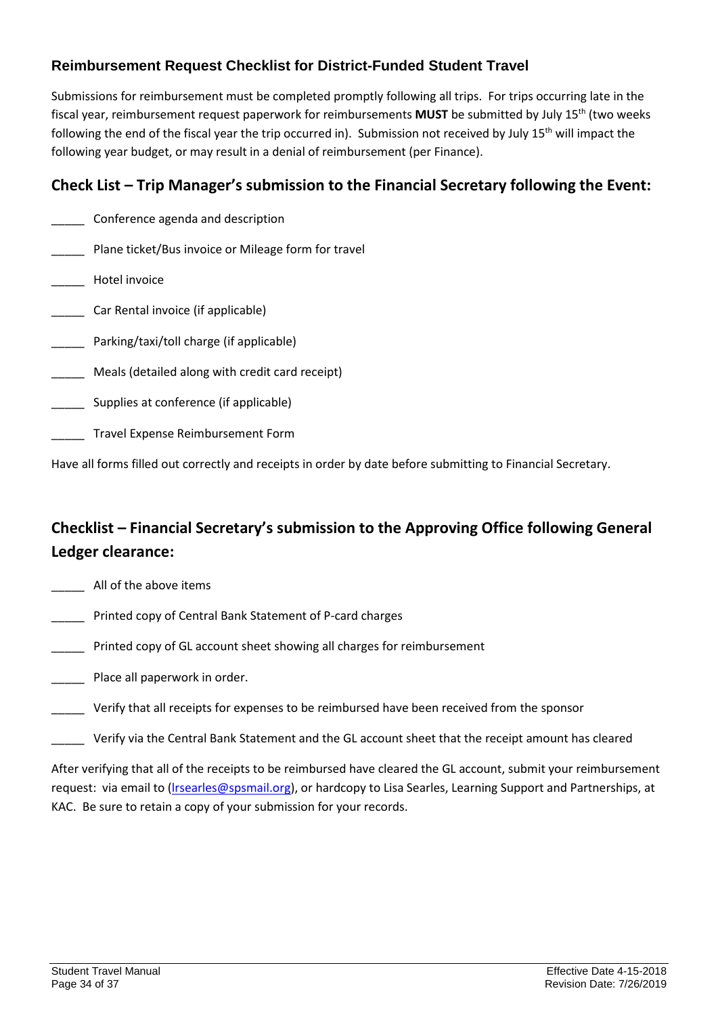# <span id="page-33-0"></span>**Reimbursement Request Checklist for District-Funded Student Travel**

Submissions for reimbursement must be completed promptly following all trips. For trips occurring late in the fiscal year, reimbursement request paperwork for reimbursements **MUST** be submitted by July 15th (two weeks following the end of the fiscal year the trip occurred in). Submission not received by July 15<sup>th</sup> will impact the following year budget, or may result in a denial of reimbursement (per Finance).

# **Check List – Trip Manager's submission to the Financial Secretary following the Event:**

- \_\_\_\_\_ Conference agenda and description
- Plane ticket/Bus invoice or Mileage form for travel
- Hotel invoice
- \_\_\_\_\_ Car Rental invoice (if applicable)
- Parking/taxi/toll charge (if applicable)
- Meals (detailed along with credit card receipt)
- Supplies at conference (if applicable)
- \_\_\_\_\_ Travel Expense Reimbursement Form

Have all forms filled out correctly and receipts in order by date before submitting to Financial Secretary.

# **Checklist – Financial Secretary's submission to the Approving Office following General Ledger clearance:**

- \_\_\_\_\_ All of the above items
- \_\_\_\_\_ Printed copy of Central Bank Statement of P-card charges
- Printed copy of GL account sheet showing all charges for reimbursement
- \_\_\_\_\_ Place all paperwork in order.
- \_\_\_\_\_ Verify that all receipts for expenses to be reimbursed have been received from the sponsor
- Verify via the Central Bank Statement and the GL account sheet that the receipt amount has cleared

<span id="page-33-1"></span>After verifying that all of the receipts to be reimbursed have cleared the GL account, submit your reimbursement request: via email to [\(lrsearles@spsmail.org\)](mailto:lrsearles@spsmail.org), or hardcopy to Lisa Searles, Learning Support and Partnerships, at KAC. Be sure to retain a copy of your submission for your records.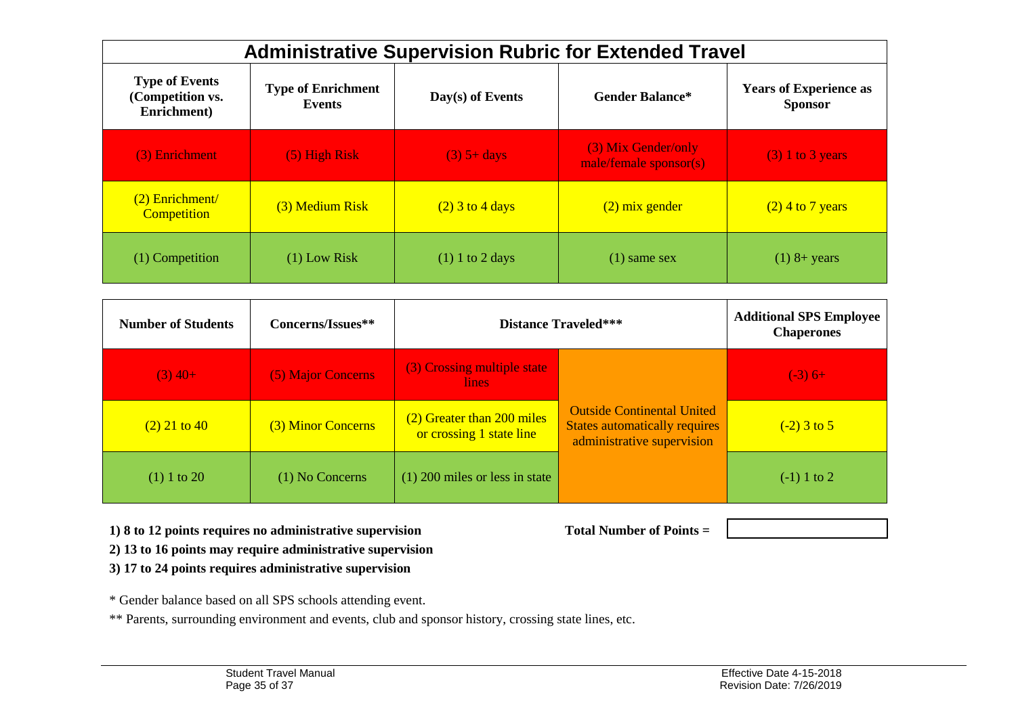| <b>Administrative Supervision Rubric for Extended Travel</b> |                                     |                    |                                               |                                                 |  |  |
|--------------------------------------------------------------|-------------------------------------|--------------------|-----------------------------------------------|-------------------------------------------------|--|--|
| <b>Type of Events</b><br>(Competition vs.<br>Enrichment)     | <b>Type of Enrichment</b><br>Events | $Day(s)$ of Events | <b>Gender Balance*</b>                        | <b>Years of Experience as</b><br><b>Sponsor</b> |  |  |
| (3) Enrichment                                               | $(5)$ High Risk                     | $(3)$ 5+ days      | (3) Mix Gender/only<br>male/female sponsor(s) | $(3)$ 1 to 3 years                              |  |  |
| $(2)$ Enrichment/<br><b>Competition</b>                      | (3) Medium Risk                     | $(2)$ 3 to 4 days  | $(2)$ mix gender                              | $(2)$ 4 to 7 years                              |  |  |
| (1) Competition                                              | $(1)$ Low Risk                      | $(1)$ 1 to 2 days  | $(1)$ same sex                                | $(1)$ 8+ years                                  |  |  |

<span id="page-34-0"></span>

| <b>Number of Students</b> | Concerns/Issues**  | <b>Distance Traveled***</b>                            |                                                                                                         | <b>Additional SPS Employee</b><br><b>Chaperones</b> |
|---------------------------|--------------------|--------------------------------------------------------|---------------------------------------------------------------------------------------------------------|-----------------------------------------------------|
| $(3)$ 40+                 | (5) Major Concerns | (3) Crossing multiple state<br>lines.                  |                                                                                                         | $(-3)$ 6+                                           |
| $(2)$ 21 to 40            | (3) Minor Concerns | (2) Greater than 200 miles<br>or crossing 1 state line | <b>Outside Continental United</b><br><b>States automatically requires</b><br>administrative supervision | $(-2)$ 3 to 5                                       |
| $(1)$ 1 to 20             | $(1)$ No Concerns  | $(1)$ 200 miles or less in state                       |                                                                                                         | $(-1)$ 1 to 2                                       |

**1) 8 to 12 points requires no administrative supervision Total Number of Points =** 

**2) 13 to 16 points may require administrative supervision**

**3) 17 to 24 points requires administrative supervision**

\* Gender balance based on all SPS schools attending event.

\*\* Parents, surrounding environment and events, club and sponsor history, crossing state lines, etc.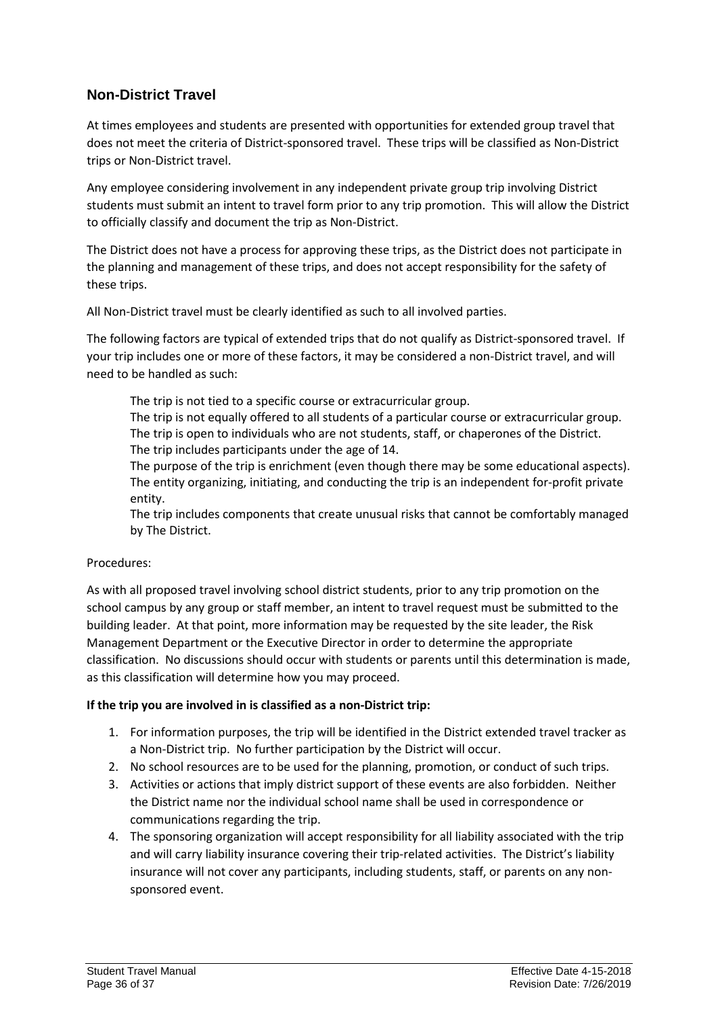# <span id="page-35-0"></span>**Non-District Travel**

At times employees and students are presented with opportunities for extended group travel that does not meet the criteria of District-sponsored travel. These trips will be classified as Non-District trips or Non-District travel.

Any employee considering involvement in any independent private group trip involving District students must submit an intent to travel form prior to any trip promotion. This will allow the District to officially classify and document the trip as Non-District.

The District does not have a process for approving these trips, as the District does not participate in the planning and management of these trips, and does not accept responsibility for the safety of these trips.

All Non-District travel must be clearly identified as such to all involved parties.

The following factors are typical of extended trips that do not qualify as District-sponsored travel. If your trip includes one or more of these factors, it may be considered a non-District travel, and will need to be handled as such:

The trip is not tied to a specific course or extracurricular group.

The trip is not equally offered to all students of a particular course or extracurricular group. The trip is open to individuals who are not students, staff, or chaperones of the District. The trip includes participants under the age of 14.

The purpose of the trip is enrichment (even though there may be some educational aspects). The entity organizing, initiating, and conducting the trip is an independent for-profit private entity.

The trip includes components that create unusual risks that cannot be comfortably managed by The District.

# Procedures:

As with all proposed travel involving school district students, prior to any trip promotion on the school campus by any group or staff member, an intent to travel request must be submitted to the building leader. At that point, more information may be requested by the site leader, the Risk Management Department or the Executive Director in order to determine the appropriate classification. No discussions should occur with students or parents until this determination is made, as this classification will determine how you may proceed.

# **If the trip you are involved in is classified as a non-District trip:**

- 1. For information purposes, the trip will be identified in the District extended travel tracker as a Non-District trip. No further participation by the District will occur.
- 2. No school resources are to be used for the planning, promotion, or conduct of such trips.
- 3. Activities or actions that imply district support of these events are also forbidden. Neither the District name nor the individual school name shall be used in correspondence or communications regarding the trip.
- 4. The sponsoring organization will accept responsibility for all liability associated with the trip and will carry liability insurance covering their trip-related activities. The District's liability insurance will not cover any participants, including students, staff, or parents on any nonsponsored event.